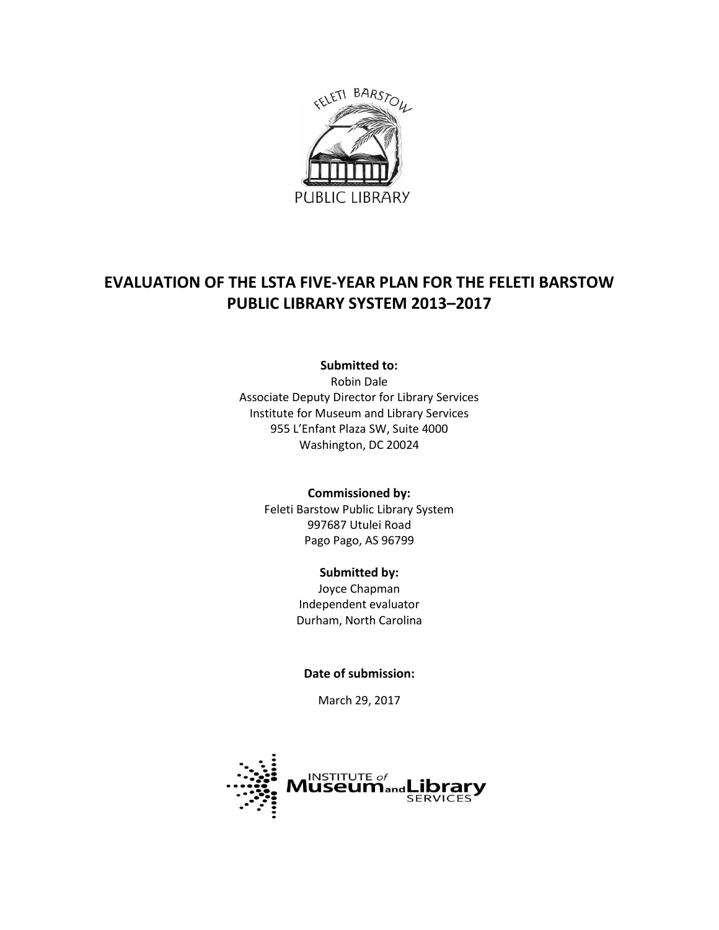

# **EVALUATION OF THE LSTA FIVE-YEAR PLAN FOR THE FELETI BARSTOW PUBLIC LIBRARY SYSTEM 2013–2017**

**Submitted to:**

Robin Dale Associate Deputy Director for Library Services Institute for Museum and Library Services 955 L'Enfant Plaza SW, Suite 4000 Washington, DC 20024

> **Commissioned by:** Feleti Barstow Public Library System 997687 Utulei Road Pago Pago, AS 96799

### **Submitted by:**

Joyce Chapman Independent evaluator Durham, North Carolina

**Date of submission:**

March 29, 2017

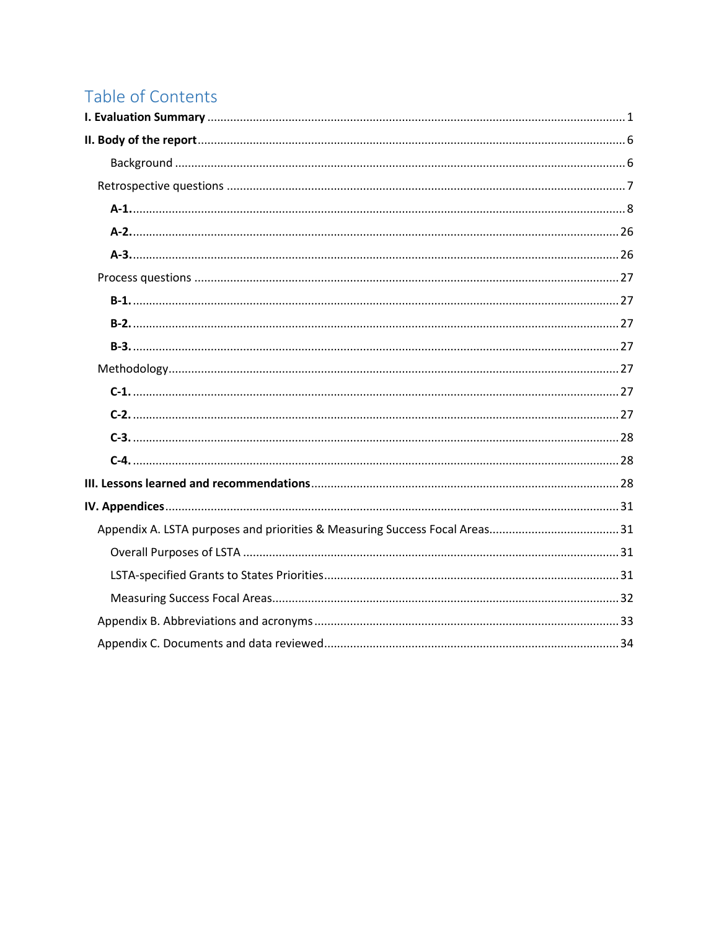# Table of Contents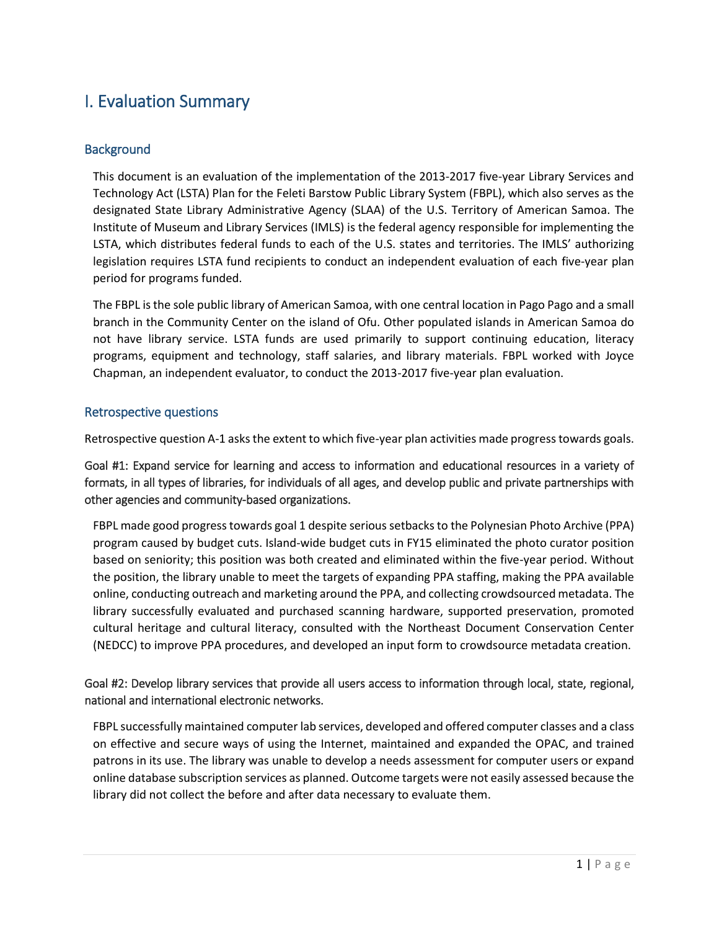# <span id="page-2-0"></span>I. Evaluation Summary

### **Background**

This document is an evaluation of the implementation of the 2013-2017 five-year Library Services and Technology Act (LSTA) Plan for the Feleti Barstow Public Library System (FBPL), which also serves as the designated State Library Administrative Agency (SLAA) of the U.S. Territory of American Samoa. The Institute of Museum and Library Services (IMLS) is the federal agency responsible for implementing the LSTA, which distributes federal funds to each of the U.S. states and territories. The IMLS' authorizing legislation requires LSTA fund recipients to conduct an independent evaluation of each five-year plan period for programs funded.

The FBPL is the sole public library of American Samoa, with one central location in Pago Pago and a small branch in the Community Center on the island of Ofu. Other populated islands in American Samoa do not have library service. LSTA funds are used primarily to support continuing education, literacy programs, equipment and technology, staff salaries, and library materials. FBPL worked with Joyce Chapman, an independent evaluator, to conduct the 2013-2017 five-year plan evaluation.

### Retrospective questions

Retrospective question A-1 asks the extent to which five-year plan activities made progress towards goals.

Goal #1: Expand service for learning and access to information and educational resources in a variety of formats, in all types of libraries, for individuals of all ages, and develop public and private partnerships with other agencies and community-based organizations.

FBPL made good progress towards goal 1 despite serious setbacks to the Polynesian Photo Archive (PPA) program caused by budget cuts. Island-wide budget cuts in FY15 eliminated the photo curator position based on seniority; this position was both created and eliminated within the five-year period. Without the position, the library unable to meet the targets of expanding PPA staffing, making the PPA available online, conducting outreach and marketing around the PPA, and collecting crowdsourced metadata. The library successfully evaluated and purchased scanning hardware, supported preservation, promoted cultural heritage and cultural literacy, consulted with the Northeast Document Conservation Center (NEDCC) to improve PPA procedures, and developed an input form to crowdsource metadata creation.

### Goal #2: Develop library services that provide all users access to information through local, state, regional, national and international electronic networks.

FBPL successfully maintained computer lab services, developed and offered computer classes and a class on effective and secure ways of using the Internet, maintained and expanded the OPAC, and trained patrons in its use. The library was unable to develop a needs assessment for computer users or expand online database subscription services as planned. Outcome targets were not easily assessed because the library did not collect the before and after data necessary to evaluate them.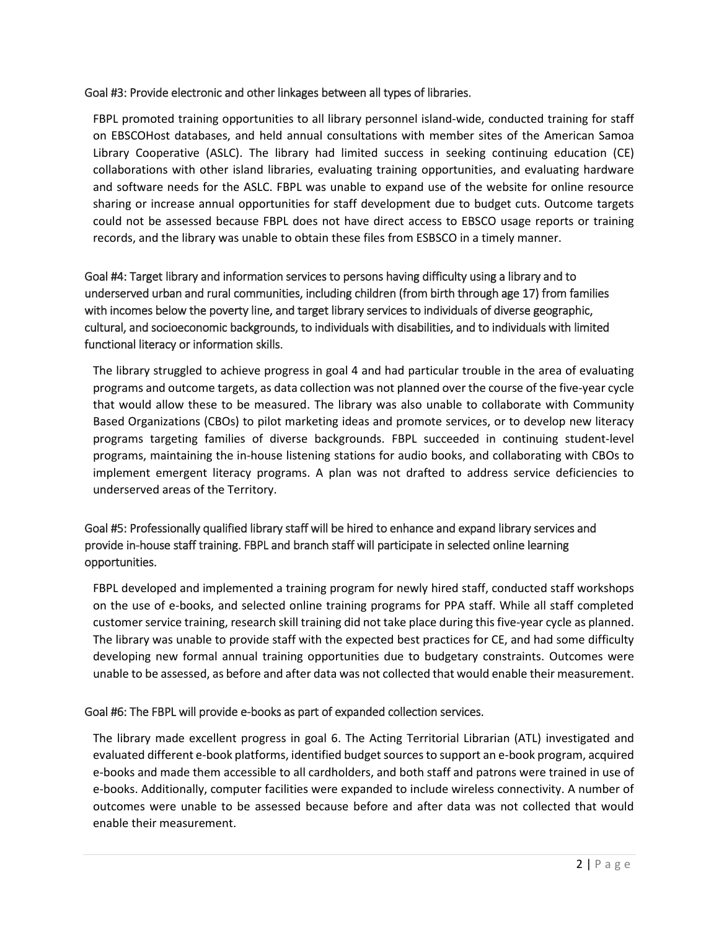#### Goal #3: Provide electronic and other linkages between all types of libraries.

FBPL promoted training opportunities to all library personnel island-wide, conducted training for staff on EBSCOHost databases, and held annual consultations with member sites of the American Samoa Library Cooperative (ASLC). The library had limited success in seeking continuing education (CE) collaborations with other island libraries, evaluating training opportunities, and evaluating hardware and software needs for the ASLC. FBPL was unable to expand use of the website for online resource sharing or increase annual opportunities for staff development due to budget cuts. Outcome targets could not be assessed because FBPL does not have direct access to EBSCO usage reports or training records, and the library was unable to obtain these files from ESBSCO in a timely manner.

# Goal #4: Target library and information services to persons having difficulty using a library and to underserved urban and rural communities, including children (from birth through age 17) from families with incomes below the poverty line, and target library services to individuals of diverse geographic, cultural, and socioeconomic backgrounds, to individuals with disabilities, and to individuals with limited functional literacy or information skills.

The library struggled to achieve progress in goal 4 and had particular trouble in the area of evaluating programs and outcome targets, as data collection was not planned over the course of the five-year cycle that would allow these to be measured. The library was also unable to collaborate with Community Based Organizations (CBOs) to pilot marketing ideas and promote services, or to develop new literacy programs targeting families of diverse backgrounds. FBPL succeeded in continuing student-level programs, maintaining the in-house listening stations for audio books, and collaborating with CBOs to implement emergent literacy programs. A plan was not drafted to address service deficiencies to underserved areas of the Territory.

# Goal #5: Professionally qualified library staff will be hired to enhance and expand library services and provide in-house staff training. FBPL and branch staff will participate in selected online learning opportunities.

FBPL developed and implemented a training program for newly hired staff, conducted staff workshops on the use of e-books, and selected online training programs for PPA staff. While all staff completed customer service training, research skill training did not take place during this five-year cycle as planned. The library was unable to provide staff with the expected best practices for CE, and had some difficulty developing new formal annual training opportunities due to budgetary constraints. Outcomes were unable to be assessed, as before and after data was not collected that would enable their measurement.

### Goal #6: The FBPL will provide e-books as part of expanded collection services.

The library made excellent progress in goal 6. The Acting Territorial Librarian (ATL) investigated and evaluated different e-book platforms, identified budget sources to support an e-book program, acquired e-books and made them accessible to all cardholders, and both staff and patrons were trained in use of e-books. Additionally, computer facilities were expanded to include wireless connectivity. A number of outcomes were unable to be assessed because before and after data was not collected that would enable their measurement.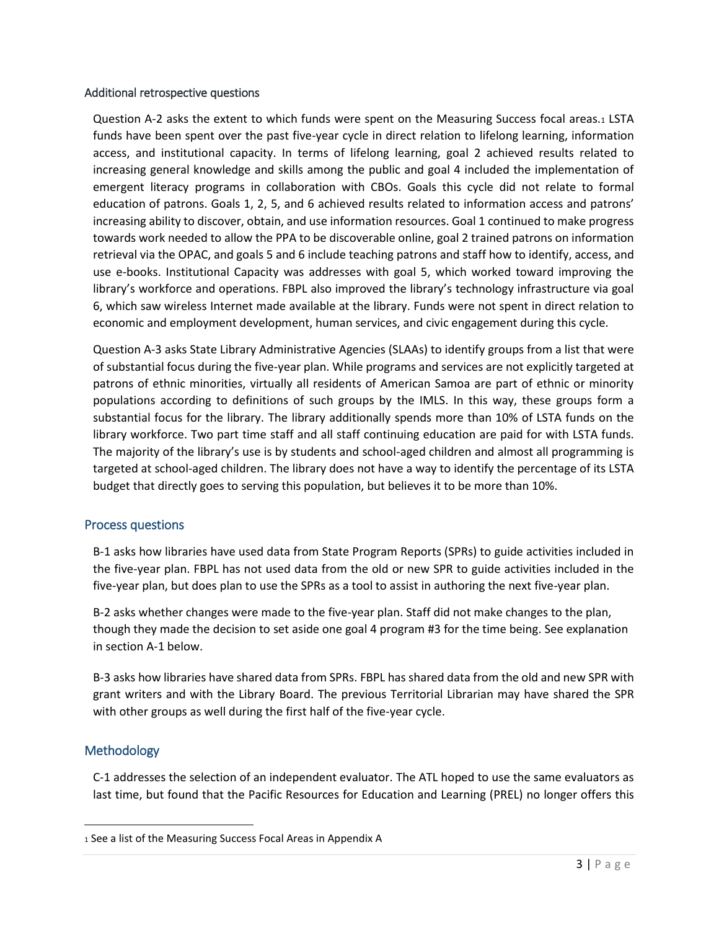#### Additional retrospective questions

Question A-2 asks the extent to which funds were spent on the Measuring Success focal areas.<sup>1</sup> LSTA funds have been spent over the past five-year cycle in direct relation to lifelong learning, information access, and institutional capacity. In terms of lifelong learning, goal 2 achieved results related to increasing general knowledge and skills among the public and goal 4 included the implementation of emergent literacy programs in collaboration with CBOs. Goals this cycle did not relate to formal education of patrons. Goals 1, 2, 5, and 6 achieved results related to information access and patrons' increasing ability to discover, obtain, and use information resources. Goal 1 continued to make progress towards work needed to allow the PPA to be discoverable online, goal 2 trained patrons on information retrieval via the OPAC, and goals 5 and 6 include teaching patrons and staff how to identify, access, and use e-books. Institutional Capacity was addresses with goal 5, which worked toward improving the library's workforce and operations. FBPL also improved the library's technology infrastructure via goal 6, which saw wireless Internet made available at the library. Funds were not spent in direct relation to economic and employment development, human services, and civic engagement during this cycle.

Question A-3 asks State Library Administrative Agencies (SLAAs) to identify groups from a list that were of substantial focus during the five-year plan. While programs and services are not explicitly targeted at patrons of ethnic minorities, virtually all residents of American Samoa are part of ethnic or minority populations according to definitions of such groups by the IMLS. In this way, these groups form a substantial focus for the library. The library additionally spends more than 10% of LSTA funds on the library workforce. Two part time staff and all staff continuing education are paid for with LSTA funds. The majority of the library's use is by students and school-aged children and almost all programming is targeted at school-aged children. The library does not have a way to identify the percentage of its LSTA budget that directly goes to serving this population, but believes it to be more than 10%.

### Process questions

B-1 asks how libraries have used data from State Program Reports (SPRs) to guide activities included in the five-year plan. FBPL has not used data from the old or new SPR to guide activities included in the five-year plan, but does plan to use the SPRs as a tool to assist in authoring the next five-year plan.

B-2 asks whether changes were made to the five-year plan. Staff did not make changes to the plan, though they made the decision to set aside one goal 4 program #3 for the time being. See explanation in section A-1 below.

B-3 asks how libraries have shared data from SPRs. FBPL has shared data from the old and new SPR with grant writers and with the Library Board. The previous Territorial Librarian may have shared the SPR with other groups as well during the first half of the five-year cycle.

### **Methodology**

 $\overline{\phantom{a}}$ 

C-1 addresses the selection of an independent evaluator. The ATL hoped to use the same evaluators as last time, but found that the Pacific Resources for Education and Learning (PREL) no longer offers this

<sup>1</sup> See a list of the Measuring Success Focal Areas in Appendix A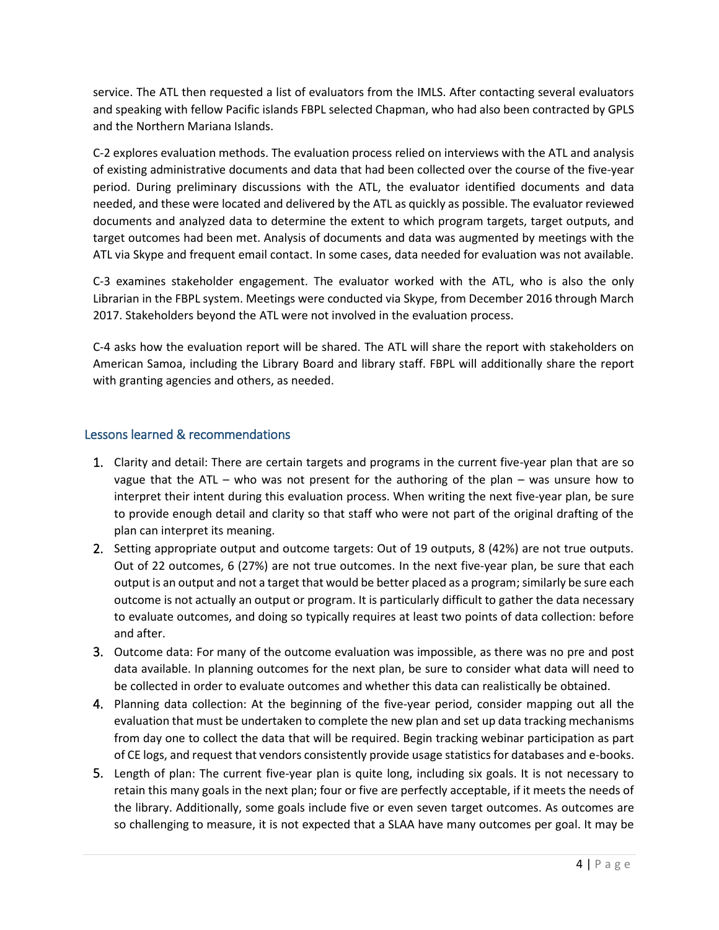service. The ATL then requested a list of evaluators from the IMLS. After contacting several evaluators and speaking with fellow Pacific islands FBPL selected Chapman, who had also been contracted by GPLS and the Northern Mariana Islands.

C-2 explores evaluation methods. The evaluation process relied on interviews with the ATL and analysis of existing administrative documents and data that had been collected over the course of the five-year period. During preliminary discussions with the ATL, the evaluator identified documents and data needed, and these were located and delivered by the ATL as quickly as possible. The evaluator reviewed documents and analyzed data to determine the extent to which program targets, target outputs, and target outcomes had been met. Analysis of documents and data was augmented by meetings with the ATL via Skype and frequent email contact. In some cases, data needed for evaluation was not available.

C-3 examines stakeholder engagement. The evaluator worked with the ATL, who is also the only Librarian in the FBPL system. Meetings were conducted via Skype, from December 2016 through March 2017. Stakeholders beyond the ATL were not involved in the evaluation process.

C-4 asks how the evaluation report will be shared. The ATL will share the report with stakeholders on American Samoa, including the Library Board and library staff. FBPL will additionally share the report with granting agencies and others, as needed.

### Lessons learned & recommendations

- 1. Clarity and detail: There are certain targets and programs in the current five-year plan that are so vague that the ATL – who was not present for the authoring of the plan – was unsure how to interpret their intent during this evaluation process. When writing the next five-year plan, be sure to provide enough detail and clarity so that staff who were not part of the original drafting of the plan can interpret its meaning.
- 2. Setting appropriate output and outcome targets: Out of 19 outputs, 8 (42%) are not true outputs. Out of 22 outcomes, 6 (27%) are not true outcomes. In the next five-year plan, be sure that each output is an output and not a target that would be better placed as a program; similarly be sure each outcome is not actually an output or program. It is particularly difficult to gather the data necessary to evaluate outcomes, and doing so typically requires at least two points of data collection: before and after.
- 3. Outcome data: For many of the outcome evaluation was impossible, as there was no pre and post data available. In planning outcomes for the next plan, be sure to consider what data will need to be collected in order to evaluate outcomes and whether this data can realistically be obtained.
- 4. Planning data collection: At the beginning of the five-year period, consider mapping out all the evaluation that must be undertaken to complete the new plan and set up data tracking mechanisms from day one to collect the data that will be required. Begin tracking webinar participation as part of CE logs, and request that vendors consistently provide usage statistics for databases and e-books.
- 5. Length of plan: The current five-year plan is quite long, including six goals. It is not necessary to retain this many goals in the next plan; four or five are perfectly acceptable, if it meets the needs of the library. Additionally, some goals include five or even seven target outcomes. As outcomes are so challenging to measure, it is not expected that a SLAA have many outcomes per goal. It may be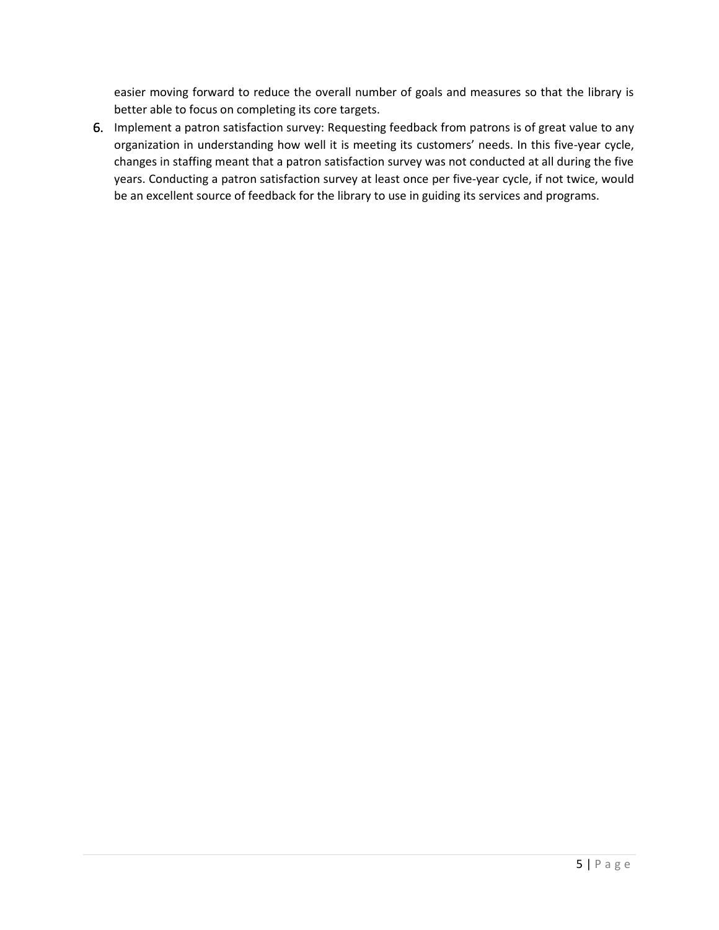easier moving forward to reduce the overall number of goals and measures so that the library is better able to focus on completing its core targets.

6. Implement a patron satisfaction survey: Requesting feedback from patrons is of great value to any organization in understanding how well it is meeting its customers' needs. In this five-year cycle, changes in staffing meant that a patron satisfaction survey was not conducted at all during the five years. Conducting a patron satisfaction survey at least once per five-year cycle, if not twice, would be an excellent source of feedback for the library to use in guiding its services and programs.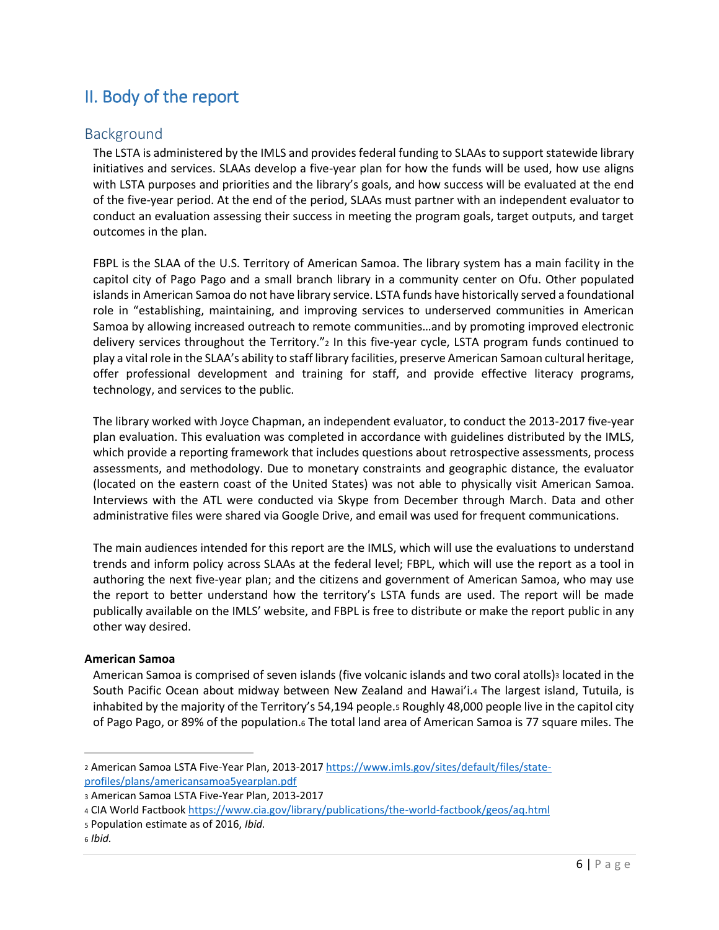# <span id="page-7-0"></span>II. Body of the report

# <span id="page-7-1"></span>Background

The LSTA is administered by the IMLS and provides federal funding to SLAAs to support statewide library initiatives and services. SLAAs develop a five-year plan for how the funds will be used, how use aligns with LSTA purposes and priorities and the library's goals, and how success will be evaluated at the end of the five-year period. At the end of the period, SLAAs must partner with an independent evaluator to conduct an evaluation assessing their success in meeting the program goals, target outputs, and target outcomes in the plan.

FBPL is the SLAA of the U.S. Territory of American Samoa. The library system has a main facility in the capitol city of Pago Pago and a small branch library in a community center on Ofu. Other populated islands in American Samoa do not have library service. LSTA funds have historically served a foundational role in "establishing, maintaining, and improving services to underserved communities in American Samoa by allowing increased outreach to remote communities…and by promoting improved electronic delivery services throughout the Territory."<sup>2</sup> In this five-year cycle, LSTA program funds continued to play a vital role in the SLAA's ability to staff library facilities, preserve American Samoan cultural heritage, offer professional development and training for staff, and provide effective literacy programs, technology, and services to the public.

The library worked with Joyce Chapman, an independent evaluator, to conduct the 2013-2017 five-year plan evaluation. This evaluation was completed in accordance with guidelines distributed by the IMLS, which provide a reporting framework that includes questions about retrospective assessments, process assessments, and methodology. Due to monetary constraints and geographic distance, the evaluator (located on the eastern coast of the United States) was not able to physically visit American Samoa. Interviews with the ATL were conducted via Skype from December through March. Data and other administrative files were shared via Google Drive, and email was used for frequent communications.

The main audiences intended for this report are the IMLS, which will use the evaluations to understand trends and inform policy across SLAAs at the federal level; FBPL, which will use the report as a tool in authoring the next five-year plan; and the citizens and government of American Samoa, who may use the report to better understand how the territory's LSTA funds are used. The report will be made publically available on the IMLS' website, and FBPL is free to distribute or make the report public in any other way desired.

#### **American Samoa**

American Samoa is comprised of seven islands (five volcanic islands and two coral atolls)<sub>3</sub> located in the South Pacific Ocean about midway between New Zealand and Hawai'i.<sup>4</sup> The largest island, Tutuila, is inhabited by the majority of the Territory's 54,194 people.<sup>5</sup> Roughly 48,000 people live in the capitol city of Pago Pago, or 89% of the population.<sup>6</sup> The total land area of American Samoa is 77 square miles. The

 $\overline{a}$ 

<sup>2</sup> American Samoa LSTA Five-Year Plan, 2013-2017 [https://www.imls.gov/sites/default/files/state](https://www.imls.gov/sites/default/files/state-profiles/plans/americansamoa5yearplan.pdf)[profiles/plans/americansamoa5yearplan.pdf](https://www.imls.gov/sites/default/files/state-profiles/plans/americansamoa5yearplan.pdf)

<sup>3</sup> American Samoa LSTA Five-Year Plan, 2013-2017

<sup>4</sup> CIA World Factboo[k https://www.cia.gov/library/publications/the-world-factbook/geos/aq.html](https://www.cia.gov/library/publications/the-world-factbook/geos/aq.html)

<sup>5</sup> Population estimate as of 2016, *Ibid.*

<sup>6</sup> *Ibid.*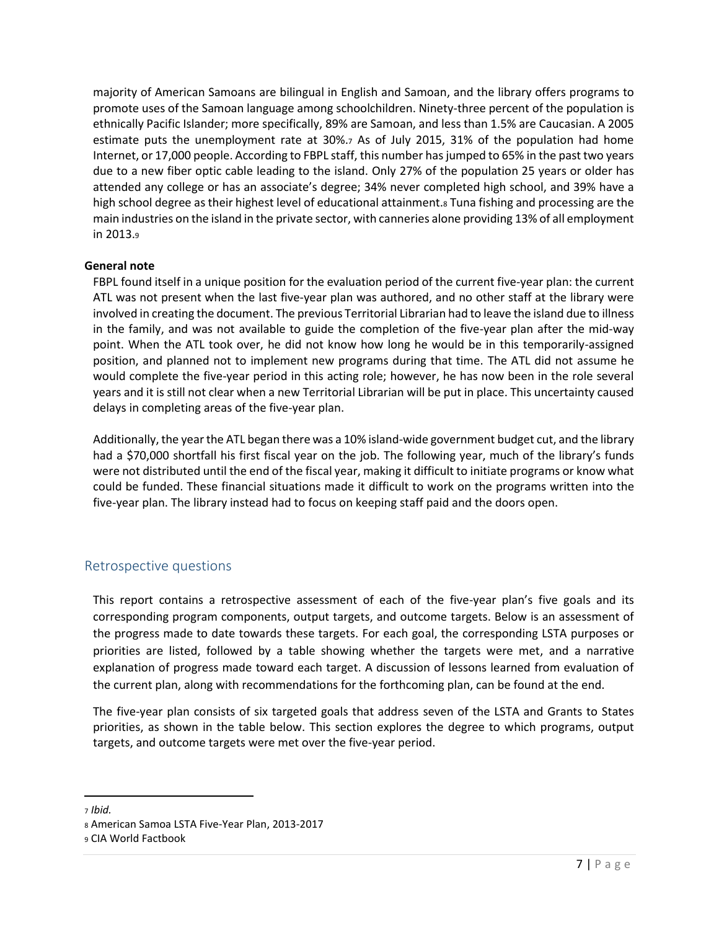majority of American Samoans are bilingual in English and Samoan, and the library offers programs to promote uses of the Samoan language among schoolchildren. Ninety-three percent of the population is ethnically Pacific Islander; more specifically, 89% are Samoan, and less than 1.5% are Caucasian. A 2005 estimate puts the unemployment rate at 30%.<sup>7</sup> As of July 2015, 31% of the population had home Internet, or 17,000 people. According to FBPL staff, this number has jumped to 65% in the past two years due to a new fiber optic cable leading to the island. Only 27% of the population 25 years or older has attended any college or has an associate's degree; 34% never completed high school, and 39% have a high school degree as their highest level of educational attainment. Tuna fishing and processing are the main industries on the island in the private sector, with canneries alone providing 13% of all employment in 2013.<sup>9</sup>

### **General note**

FBPL found itself in a unique position for the evaluation period of the current five-year plan: the current ATL was not present when the last five-year plan was authored, and no other staff at the library were involved in creating the document. The previous Territorial Librarian had to leave the island due to illness in the family, and was not available to guide the completion of the five-year plan after the mid-way point. When the ATL took over, he did not know how long he would be in this temporarily-assigned position, and planned not to implement new programs during that time. The ATL did not assume he would complete the five-year period in this acting role; however, he has now been in the role several years and it is still not clear when a new Territorial Librarian will be put in place. This uncertainty caused delays in completing areas of the five-year plan.

Additionally, the year the ATL began there was a 10% island-wide government budget cut, and the library had a \$70,000 shortfall his first fiscal year on the job. The following year, much of the library's funds were not distributed until the end of the fiscal year, making it difficult to initiate programs or know what could be funded. These financial situations made it difficult to work on the programs written into the five-year plan. The library instead had to focus on keeping staff paid and the doors open.

# <span id="page-8-0"></span>Retrospective questions

This report contains a retrospective assessment of each of the five-year plan's five goals and its corresponding program components, output targets, and outcome targets. Below is an assessment of the progress made to date towards these targets. For each goal, the corresponding LSTA purposes or priorities are listed, followed by a table showing whether the targets were met, and a narrative explanation of progress made toward each target. A discussion of lessons learned from evaluation of the current plan, along with recommendations for the forthcoming plan, can be found at the end.

The five-year plan consists of six targeted goals that address seven of the LSTA and Grants to States priorities, as shown in the table below. This section explores the degree to which programs, output targets, and outcome targets were met over the five-year period.

 $\overline{\phantom{a}}$ 

<sup>7</sup> *Ibid.*

<sup>8</sup> American Samoa LSTA Five-Year Plan, 2013-2017

<sup>9</sup> CIA World Factbook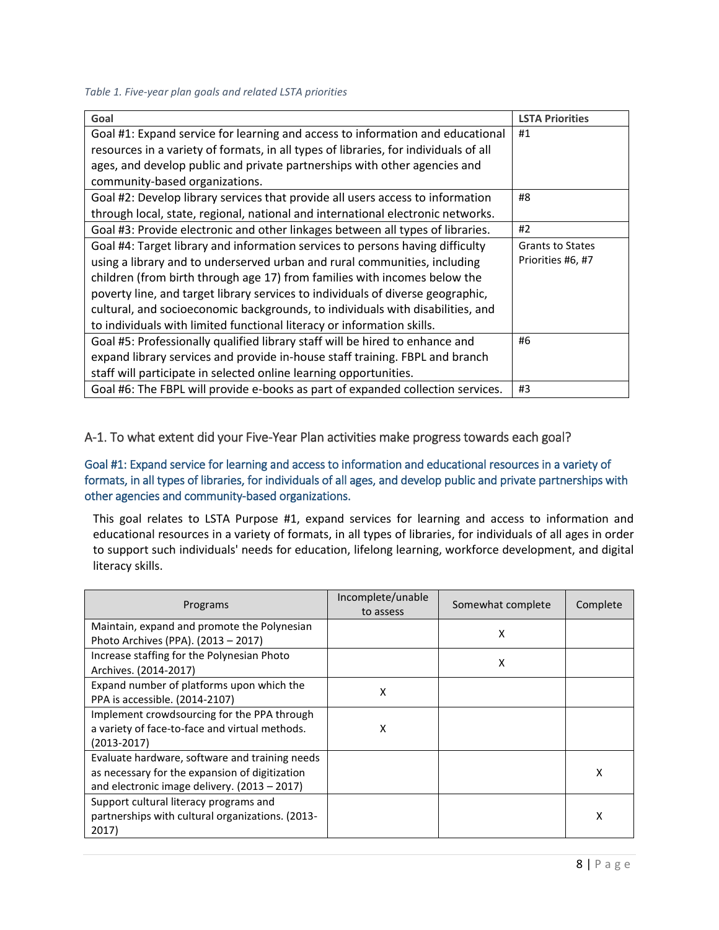#### *Table 1. Five-year plan goals and related LSTA priorities*

| Goal                                                                                 | <b>LSTA Priorities</b>  |
|--------------------------------------------------------------------------------------|-------------------------|
| Goal #1: Expand service for learning and access to information and educational       | #1                      |
| resources in a variety of formats, in all types of libraries, for individuals of all |                         |
| ages, and develop public and private partnerships with other agencies and            |                         |
| community-based organizations.                                                       |                         |
| Goal #2: Develop library services that provide all users access to information       | #8                      |
| through local, state, regional, national and international electronic networks.      |                         |
| Goal #3: Provide electronic and other linkages between all types of libraries.       | #2                      |
| Goal #4: Target library and information services to persons having difficulty        | <b>Grants to States</b> |
| using a library and to underserved urban and rural communities, including            | Priorities #6, #7       |
| children (from birth through age 17) from families with incomes below the            |                         |
| poverty line, and target library services to individuals of diverse geographic,      |                         |
| cultural, and socioeconomic backgrounds, to individuals with disabilities, and       |                         |
| to individuals with limited functional literacy or information skills.               |                         |
| Goal #5: Professionally qualified library staff will be hired to enhance and         | #6                      |
| expand library services and provide in-house staff training. FBPL and branch         |                         |
| staff will participate in selected online learning opportunities.                    |                         |
| Goal #6: The FBPL will provide e-books as part of expanded collection services.      | #3                      |

### <span id="page-9-0"></span>A-1. To what extent did your Five-Year Plan activities make progress towards each goal?

Goal #1: Expand service for learning and access to information and educational resources in a variety of formats, in all types of libraries, for individuals of all ages, and develop public and private partnerships with other agencies and community-based organizations.

This goal relates to LSTA Purpose #1, expand services for learning and access to information and educational resources in a variety of formats, in all types of libraries, for individuals of all ages in order to support such individuals' needs for education, lifelong learning, workforce development, and digital literacy skills.

| Programs                                                                                                                                           | Incomplete/unable<br>to assess | Somewhat complete | Complete |
|----------------------------------------------------------------------------------------------------------------------------------------------------|--------------------------------|-------------------|----------|
| Maintain, expand and promote the Polynesian<br>Photo Archives (PPA). (2013 - 2017)                                                                 |                                | x                 |          |
| Increase staffing for the Polynesian Photo<br>Archives. (2014-2017)                                                                                |                                | X                 |          |
| Expand number of platforms upon which the<br>PPA is accessible. (2014-2107)                                                                        | X                              |                   |          |
| Implement crowdsourcing for the PPA through<br>a variety of face-to-face and virtual methods.<br>(2013-2017)                                       | x                              |                   |          |
| Evaluate hardware, software and training needs<br>as necessary for the expansion of digitization<br>and electronic image delivery. $(2013 - 2017)$ |                                |                   | x        |
| Support cultural literacy programs and<br>partnerships with cultural organizations. (2013-<br>2017)                                                |                                |                   | х        |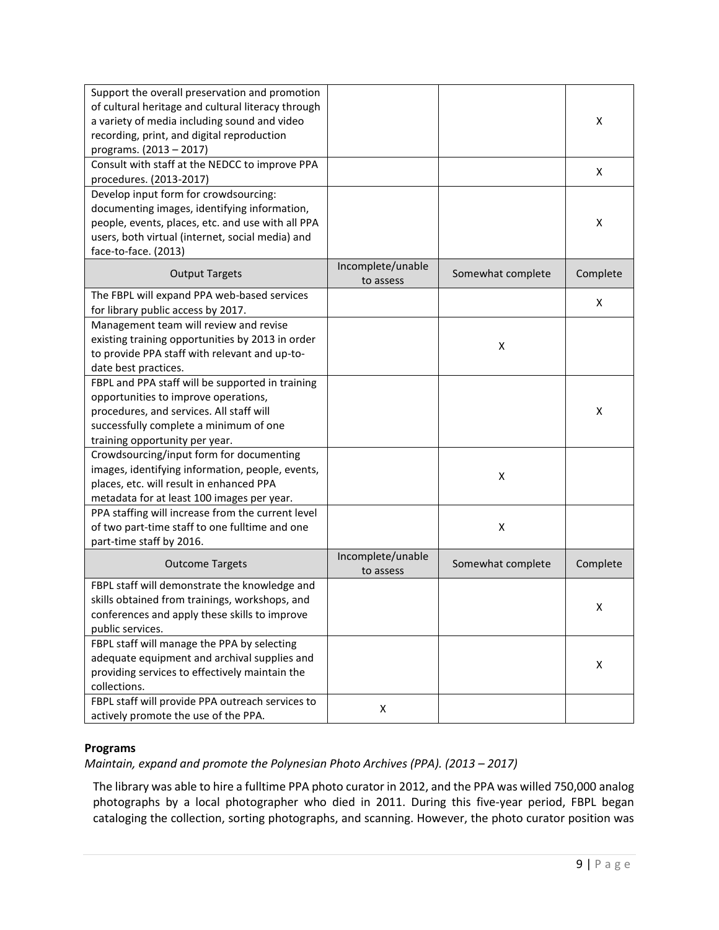| Support the overall preservation and promotion<br>of cultural heritage and cultural literacy through<br>a variety of media including sound and video<br>recording, print, and digital reproduction<br>programs. (2013 - 2017) |                                |                   | x        |
|-------------------------------------------------------------------------------------------------------------------------------------------------------------------------------------------------------------------------------|--------------------------------|-------------------|----------|
| Consult with staff at the NEDCC to improve PPA<br>procedures. (2013-2017)                                                                                                                                                     |                                |                   | x        |
| Develop input form for crowdsourcing:<br>documenting images, identifying information,<br>people, events, places, etc. and use with all PPA<br>users, both virtual (internet, social media) and<br>face-to-face. (2013)        |                                |                   | х        |
| <b>Output Targets</b>                                                                                                                                                                                                         | Incomplete/unable<br>to assess | Somewhat complete | Complete |
| The FBPL will expand PPA web-based services<br>for library public access by 2017.                                                                                                                                             |                                |                   | x        |
| Management team will review and revise<br>existing training opportunities by 2013 in order<br>to provide PPA staff with relevant and up-to-<br>date best practices.                                                           |                                | Χ                 |          |
| FBPL and PPA staff will be supported in training<br>opportunities to improve operations,<br>procedures, and services. All staff will<br>successfully complete a minimum of one<br>training opportunity per year.              |                                |                   | X        |
| Crowdsourcing/input form for documenting<br>images, identifying information, people, events,<br>places, etc. will result in enhanced PPA<br>metadata for at least 100 images per year.                                        |                                | X                 |          |
| PPA staffing will increase from the current level<br>of two part-time staff to one fulltime and one<br>part-time staff by 2016.                                                                                               |                                | X                 |          |
| <b>Outcome Targets</b>                                                                                                                                                                                                        | Incomplete/unable<br>to assess | Somewhat complete | Complete |
| FBPL staff will demonstrate the knowledge and<br>skills obtained from trainings, workshops, and<br>conferences and apply these skills to improve<br>public services.                                                          |                                |                   | x        |
| FBPL staff will manage the PPA by selecting<br>adequate equipment and archival supplies and<br>providing services to effectively maintain the<br>collections.                                                                 |                                |                   | X        |
| FBPL staff will provide PPA outreach services to<br>actively promote the use of the PPA.                                                                                                                                      | X                              |                   |          |

#### **Programs**

*Maintain, expand and promote the Polynesian Photo Archives (PPA). (2013 - 2017)* 

The library was able to hire a fulltime PPA photo curator in 2012, and the PPA was willed 750,000 analog photographs by a local photographer who died in 2011. During this five-year period, FBPL began cataloging the collection, sorting photographs, and scanning. However, the photo curator position was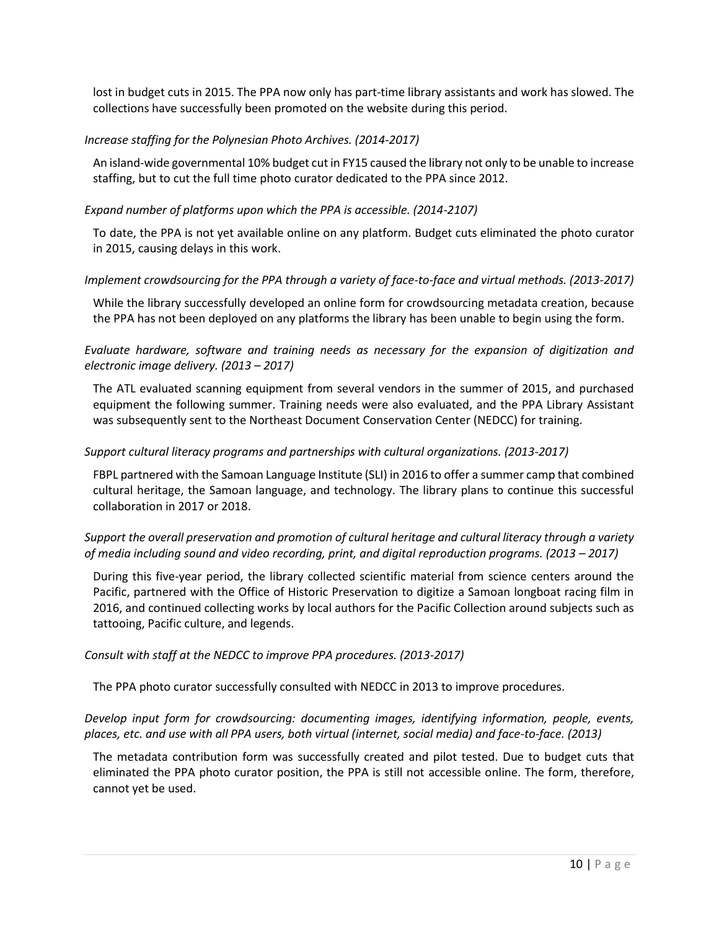lost in budget cuts in 2015. The PPA now only has part-time library assistants and work has slowed. The collections have successfully been promoted on the website during this period.

### *Increase staffing for the Polynesian Photo Archives. (2014-2017)*

An island-wide governmental 10% budget cut in FY15 caused the library not only to be unable to increase staffing, but to cut the full time photo curator dedicated to the PPA since 2012.

### *Expand number of platforms upon which the PPA is accessible. (2014-2107)*

To date, the PPA is not yet available online on any platform. Budget cuts eliminated the photo curator in 2015, causing delays in this work.

### *Implement crowdsourcing for the PPA through a variety of face-to-face and virtual methods. (2013-2017)*

While the library successfully developed an online form for crowdsourcing metadata creation, because the PPA has not been deployed on any platforms the library has been unable to begin using the form.

*Evaluate hardware, software and training needs as necessary for the expansion of digitization and electronic image delivery. (2013 – 2017)* 

The ATL evaluated scanning equipment from several vendors in the summer of 2015, and purchased equipment the following summer. Training needs were also evaluated, and the PPA Library Assistant was subsequently sent to the Northeast Document Conservation Center (NEDCC) for training.

### *Support cultural literacy programs and partnerships with cultural organizations. (2013-2017)*

FBPL partnered with the Samoan Language Institute (SLI) in 2016 to offer a summer camp that combined cultural heritage, the Samoan language, and technology. The library plans to continue this successful collaboration in 2017 or 2018.

### *Support the overall preservation and promotion of cultural heritage and cultural literacy through a variety of media including sound and video recording, print, and digital reproduction programs. (2013 – 2017)*

During this five-year period, the library collected scientific material from science centers around the Pacific, partnered with the Office of Historic Preservation to digitize a Samoan longboat racing film in 2016, and continued collecting works by local authors for the Pacific Collection around subjects such as tattooing, Pacific culture, and legends.

#### *Consult with staff at the NEDCC to improve PPA procedures. (2013-2017)*

The PPA photo curator successfully consulted with NEDCC in 2013 to improve procedures.

### *Develop input form for crowdsourcing: documenting images, identifying information, people, events, places, etc. and use with all PPA users, both virtual (internet, social media) and face-to-face. (2013)*

The metadata contribution form was successfully created and pilot tested. Due to budget cuts that eliminated the PPA photo curator position, the PPA is still not accessible online. The form, therefore, cannot yet be used.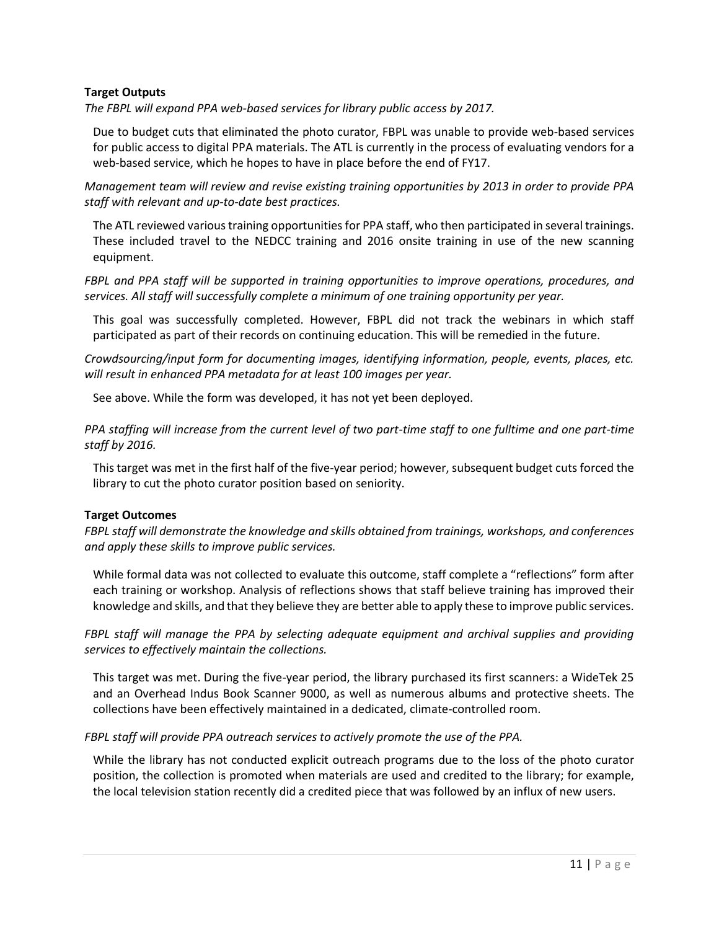#### **Target Outputs**

*The FBPL will expand PPA web-based services for library public access by 2017.* 

Due to budget cuts that eliminated the photo curator, FBPL was unable to provide web-based services for public access to digital PPA materials. The ATL is currently in the process of evaluating vendors for a web-based service, which he hopes to have in place before the end of FY17.

*Management team will review and revise existing training opportunities by 2013 in order to provide PPA staff with relevant and up-to-date best practices.* 

The ATL reviewed various training opportunities for PPA staff, who then participated in several trainings. These included travel to the NEDCC training and 2016 onsite training in use of the new scanning equipment.

*FBPL and PPA staff will be supported in training opportunities to improve operations, procedures, and services. All staff will successfully complete a minimum of one training opportunity per year.* 

This goal was successfully completed. However, FBPL did not track the webinars in which staff participated as part of their records on continuing education. This will be remedied in the future.

*Crowdsourcing/input form for documenting images, identifying information, people, events, places, etc. will result in enhanced PPA metadata for at least 100 images per year.* 

See above. While the form was developed, it has not yet been deployed.

*PPA staffing will increase from the current level of two part-time staff to one fulltime and one part-time staff by 2016.*

This target was met in the first half of the five-year period; however, subsequent budget cuts forced the library to cut the photo curator position based on seniority.

#### **Target Outcomes**

*FBPL staff will demonstrate the knowledge and skills obtained from trainings, workshops, and conferences and apply these skills to improve public services.* 

While formal data was not collected to evaluate this outcome, staff complete a "reflections" form after each training or workshop. Analysis of reflections shows that staff believe training has improved their knowledge and skills, and that they believe they are better able to apply these to improve public services.

*FBPL staff will manage the PPA by selecting adequate equipment and archival supplies and providing services to effectively maintain the collections.* 

This target was met. During the five-year period, the library purchased its first scanners: a WideTek 25 and an Overhead Indus Book Scanner 9000, as well as numerous albums and protective sheets. The collections have been effectively maintained in a dedicated, climate-controlled room.

#### *FBPL staff will provide PPA outreach services to actively promote the use of the PPA.*

While the library has not conducted explicit outreach programs due to the loss of the photo curator position, the collection is promoted when materials are used and credited to the library; for example, the local television station recently did a credited piece that was followed by an influx of new users.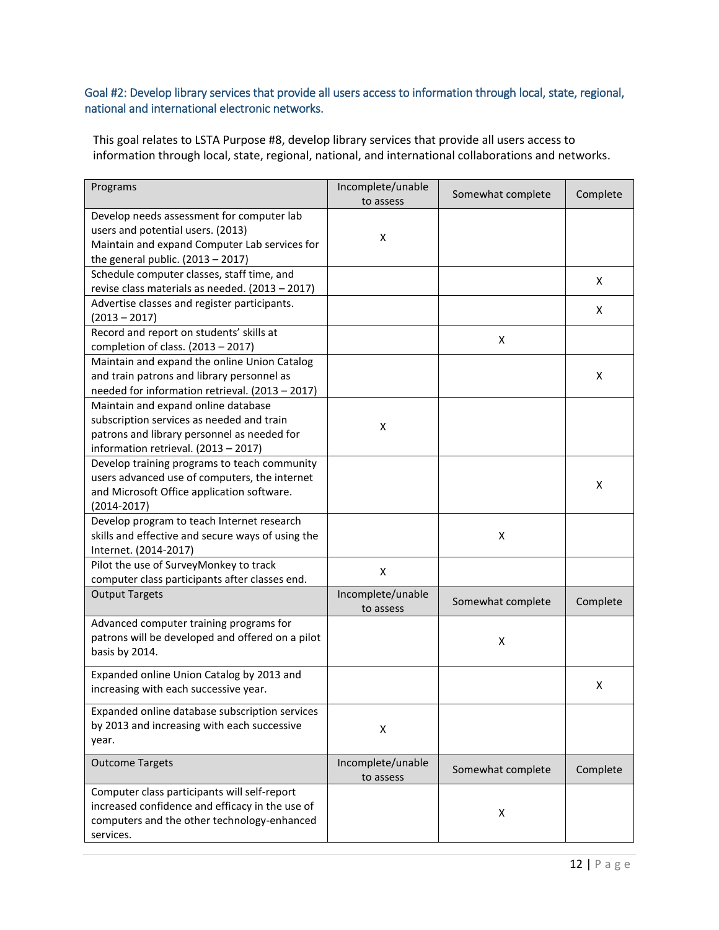### Goal #2: Develop library services that provide all users access to information through local, state, regional, national and international electronic networks.

This goal relates to LSTA Purpose #8, develop library services that provide all users access to information through local, state, regional, national, and international collaborations and networks.

| Programs                                                                                                                                                                | Incomplete/unable<br>to assess | Somewhat complete | Complete |
|-------------------------------------------------------------------------------------------------------------------------------------------------------------------------|--------------------------------|-------------------|----------|
| Develop needs assessment for computer lab<br>users and potential users. (2013)<br>Maintain and expand Computer Lab services for<br>the general public. $(2013 - 2017)$  | X                              |                   |          |
| Schedule computer classes, staff time, and<br>revise class materials as needed. (2013 - 2017)                                                                           |                                |                   | x        |
| Advertise classes and register participants.<br>$(2013 - 2017)$                                                                                                         |                                |                   | x        |
| Record and report on students' skills at<br>completion of class. $(2013 - 2017)$                                                                                        |                                | X                 |          |
| Maintain and expand the online Union Catalog<br>and train patrons and library personnel as<br>needed for information retrieval. (2013 - 2017)                           |                                |                   | x        |
| Maintain and expand online database<br>subscription services as needed and train<br>patrons and library personnel as needed for<br>information retrieval. (2013 - 2017) | Χ                              |                   |          |
| Develop training programs to teach community<br>users advanced use of computers, the internet<br>and Microsoft Office application software.<br>$(2014 - 2017)$          |                                |                   | x        |
| Develop program to teach Internet research<br>skills and effective and secure ways of using the<br>Internet. (2014-2017)                                                |                                | X                 |          |
| Pilot the use of SurveyMonkey to track<br>computer class participants after classes end.                                                                                | X                              |                   |          |
| <b>Output Targets</b>                                                                                                                                                   | Incomplete/unable<br>to assess | Somewhat complete | Complete |
| Advanced computer training programs for<br>patrons will be developed and offered on a pilot<br>basis by 2014.                                                           |                                | X                 |          |
| Expanded online Union Catalog by 2013 and<br>increasing with each successive year.                                                                                      |                                |                   | х        |
| Expanded online database subscription services<br>by 2013 and increasing with each successive<br>year.                                                                  | X                              |                   |          |
| <b>Outcome Targets</b>                                                                                                                                                  | Incomplete/unable<br>to assess | Somewhat complete | Complete |
| Computer class participants will self-report<br>increased confidence and efficacy in the use of<br>computers and the other technology-enhanced<br>services.             |                                | х                 |          |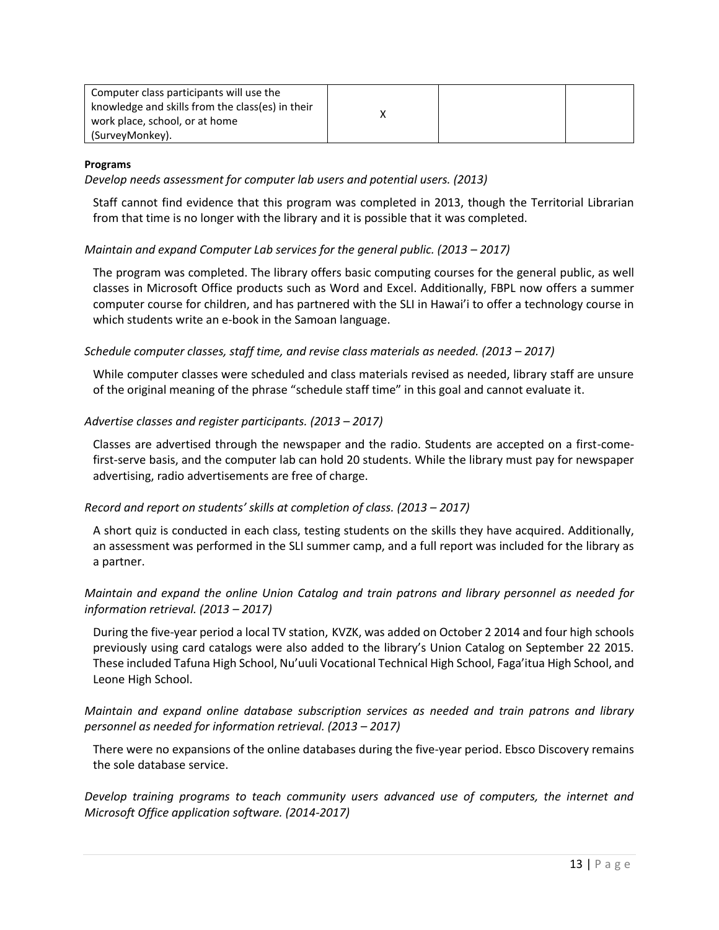| Computer class participants will use the         |  |  |
|--------------------------------------------------|--|--|
| knowledge and skills from the class(es) in their |  |  |
| work place, school, or at home                   |  |  |
| (SurveyMonkey).                                  |  |  |

#### **Programs**

*Develop needs assessment for computer lab users and potential users. (2013)* 

Staff cannot find evidence that this program was completed in 2013, though the Territorial Librarian from that time is no longer with the library and it is possible that it was completed.

#### *Maintain and expand Computer Lab services for the general public. (2013 – 2017)*

The program was completed. The library offers basic computing courses for the general public, as well classes in Microsoft Office products such as Word and Excel. Additionally, FBPL now offers a summer computer course for children, and has partnered with the SLI in Hawai'i to offer a technology course in which students write an e-book in the Samoan language.

### *Schedule computer classes, staff time, and revise class materials as needed. (2013 – 2017)*

While computer classes were scheduled and class materials revised as needed, library staff are unsure of the original meaning of the phrase "schedule staff time" in this goal and cannot evaluate it.

#### *Advertise classes and register participants. (2013 – 2017)*

Classes are advertised through the newspaper and the radio. Students are accepted on a first-comefirst-serve basis, and the computer lab can hold 20 students. While the library must pay for newspaper advertising, radio advertisements are free of charge.

#### *Record and report on students' skills at completion of class. (2013 – 2017)*

A short quiz is conducted in each class, testing students on the skills they have acquired. Additionally, an assessment was performed in the SLI summer camp, and a full report was included for the library as a partner.

### *Maintain and expand the online Union Catalog and train patrons and library personnel as needed for information retrieval. (2013 – 2017)*

During the five-year period a local TV station, KVZK, was added on October 2 2014 and four high schools previously using card catalogs were also added to the library's Union Catalog on September 22 2015. These included Tafuna High School, Nu'uuli Vocational Technical High School, Faga'itua High School, and Leone High School.

### *Maintain and expand online database subscription services as needed and train patrons and library personnel as needed for information retrieval. (2013 – 2017)*

There were no expansions of the online databases during the five-year period. Ebsco Discovery remains the sole database service.

*Develop training programs to teach community users advanced use of computers, the internet and Microsoft Office application software. (2014-2017)*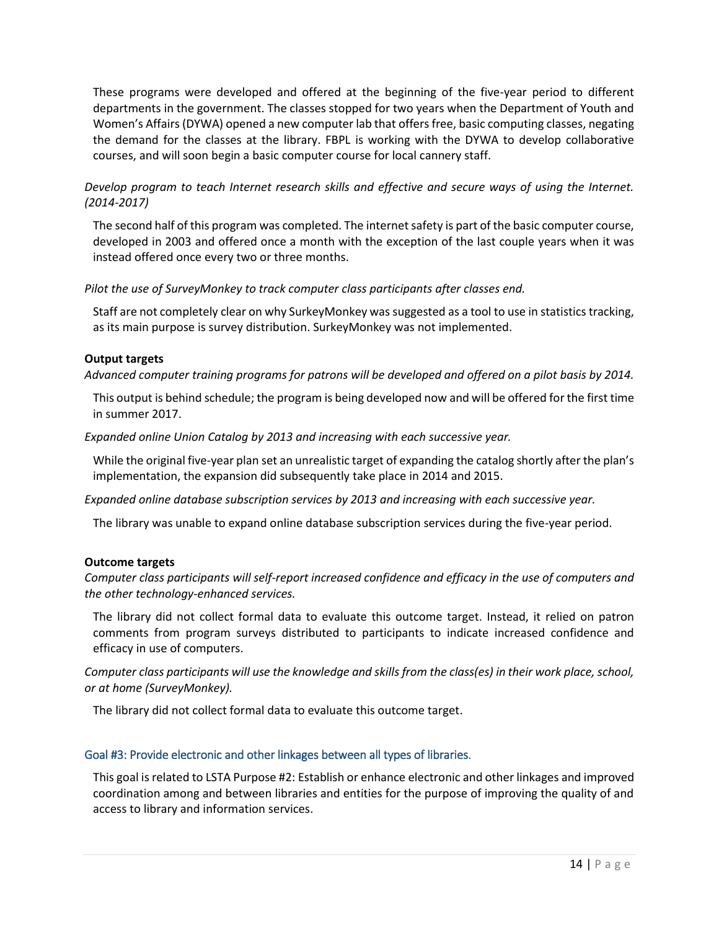These programs were developed and offered at the beginning of the five-year period to different departments in the government. The classes stopped for two years when the Department of Youth and Women's Affairs (DYWA) opened a new computer lab that offers free, basic computing classes, negating the demand for the classes at the library. FBPL is working with the DYWA to develop collaborative courses, and will soon begin a basic computer course for local cannery staff.

*Develop program to teach Internet research skills and effective and secure ways of using the Internet. (2014-2017)* 

The second half of this program was completed. The internet safety is part of the basic computer course, developed in 2003 and offered once a month with the exception of the last couple years when it was instead offered once every two or three months.

*Pilot the use of SurveyMonkey to track computer class participants after classes end.* 

Staff are not completely clear on why SurkeyMonkey was suggested as a tool to use in statistics tracking, as its main purpose is survey distribution. SurkeyMonkey was not implemented.

#### **Output targets**

*Advanced computer training programs for patrons will be developed and offered on a pilot basis by 2014.* 

This output is behind schedule; the program is being developed now and will be offered for the first time in summer 2017.

*Expanded online Union Catalog by 2013 and increasing with each successive year.* 

While the original five-year plan set an unrealistic target of expanding the catalog shortly after the plan's implementation, the expansion did subsequently take place in 2014 and 2015.

*Expanded online database subscription services by 2013 and increasing with each successive year.* 

The library was unable to expand online database subscription services during the five-year period.

#### **Outcome targets**

*Computer class participants will self-report increased confidence and efficacy in the use of computers and the other technology-enhanced services.* 

The library did not collect formal data to evaluate this outcome target. Instead, it relied on patron comments from program surveys distributed to participants to indicate increased confidence and efficacy in use of computers.

*Computer class participants will use the knowledge and skills from the class(es) in their work place, school, or at home (SurveyMonkey).* 

The library did not collect formal data to evaluate this outcome target.

#### Goal #3: Provide electronic and other linkages between all types of libraries.

This goal is related to LSTA Purpose #2: Establish or enhance electronic and other linkages and improved coordination among and between libraries and entities for the purpose of improving the quality of and access to library and information services.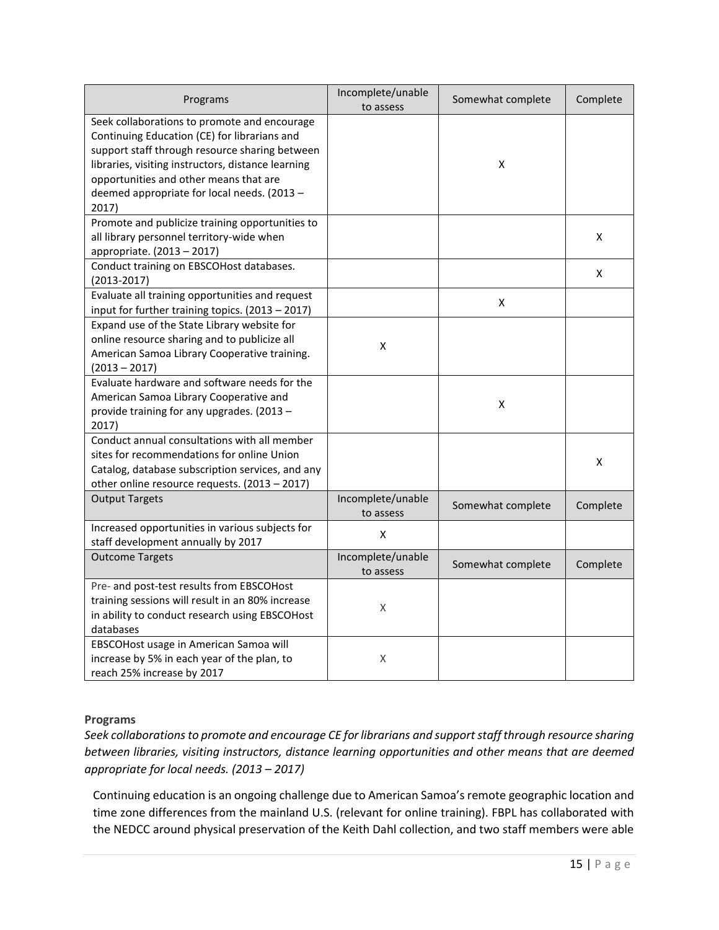| Programs                                                                                                                                                                                                                                                                                               | Incomplete/unable<br>to assess | Somewhat complete | Complete |
|--------------------------------------------------------------------------------------------------------------------------------------------------------------------------------------------------------------------------------------------------------------------------------------------------------|--------------------------------|-------------------|----------|
| Seek collaborations to promote and encourage<br>Continuing Education (CE) for librarians and<br>support staff through resource sharing between<br>libraries, visiting instructors, distance learning<br>opportunities and other means that are<br>deemed appropriate for local needs. (2013 -<br>2017) |                                | X                 |          |
| Promote and publicize training opportunities to<br>all library personnel territory-wide when<br>appropriate. (2013 - 2017)                                                                                                                                                                             |                                |                   | X        |
| Conduct training on EBSCOHost databases.<br>$(2013 - 2017)$                                                                                                                                                                                                                                            |                                |                   | X        |
| Evaluate all training opportunities and request<br>input for further training topics. (2013 - 2017)                                                                                                                                                                                                    |                                | x                 |          |
| Expand use of the State Library website for<br>online resource sharing and to publicize all<br>American Samoa Library Cooperative training.<br>$(2013 - 2017)$                                                                                                                                         | $\pmb{\mathsf{X}}$             |                   |          |
| Evaluate hardware and software needs for the<br>American Samoa Library Cooperative and<br>provide training for any upgrades. (2013 -<br>2017)                                                                                                                                                          |                                | X                 |          |
| Conduct annual consultations with all member<br>sites for recommendations for online Union<br>Catalog, database subscription services, and any<br>other online resource requests. (2013 - 2017)                                                                                                        |                                |                   | X        |
| <b>Output Targets</b>                                                                                                                                                                                                                                                                                  | Incomplete/unable<br>to assess | Somewhat complete | Complete |
| Increased opportunities in various subjects for<br>staff development annually by 2017                                                                                                                                                                                                                  | X                              |                   |          |
| <b>Outcome Targets</b>                                                                                                                                                                                                                                                                                 | Incomplete/unable<br>to assess | Somewhat complete | Complete |
| Pre- and post-test results from EBSCOHost<br>training sessions will result in an 80% increase<br>in ability to conduct research using EBSCOHost<br>databases                                                                                                                                           | Χ                              |                   |          |
| EBSCOHost usage in American Samoa will<br>increase by 5% in each year of the plan, to<br>reach 25% increase by 2017                                                                                                                                                                                    | Χ                              |                   |          |

### **Programs**

*Seek collaborations to promote and encourage CE for librarians and support staff through resource sharing between libraries, visiting instructors, distance learning opportunities and other means that are deemed appropriate for local needs. (2013 – 2017)* 

Continuing education is an ongoing challenge due to American Samoa's remote geographic location and time zone differences from the mainland U.S. (relevant for online training). FBPL has collaborated with the NEDCC around physical preservation of the Keith Dahl collection, and two staff members were able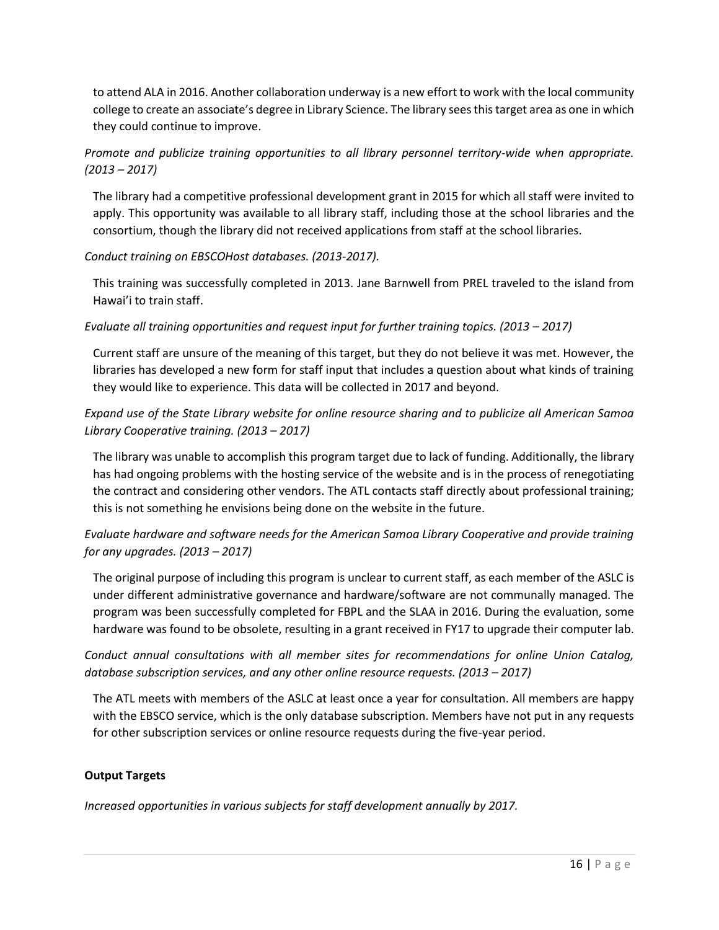to attend ALA in 2016. Another collaboration underway is a new effort to work with the local community college to create an associate's degree in Library Science. The library sees this target area as one in which they could continue to improve.

### *Promote and publicize training opportunities to all library personnel territory-wide when appropriate. (2013 – 2017)*

The library had a competitive professional development grant in 2015 for which all staff were invited to apply. This opportunity was available to all library staff, including those at the school libraries and the consortium, though the library did not received applications from staff at the school libraries.

### *Conduct training on EBSCOHost databases. (2013-2017).*

This training was successfully completed in 2013. Jane Barnwell from PREL traveled to the island from Hawai'i to train staff.

### *Evaluate all training opportunities and request input for further training topics. (2013 – 2017)*

Current staff are unsure of the meaning of this target, but they do not believe it was met. However, the libraries has developed a new form for staff input that includes a question about what kinds of training they would like to experience. This data will be collected in 2017 and beyond.

### *Expand use of the State Library website for online resource sharing and to publicize all American Samoa Library Cooperative training. (2013 – 2017)*

The library was unable to accomplish this program target due to lack of funding. Additionally, the library has had ongoing problems with the hosting service of the website and is in the process of renegotiating the contract and considering other vendors. The ATL contacts staff directly about professional training; this is not something he envisions being done on the website in the future.

### *Evaluate hardware and software needs for the American Samoa Library Cooperative and provide training for any upgrades. (2013 – 2017)*

The original purpose of including this program is unclear to current staff, as each member of the ASLC is under different administrative governance and hardware/software are not communally managed. The program was been successfully completed for FBPL and the SLAA in 2016. During the evaluation, some hardware was found to be obsolete, resulting in a grant received in FY17 to upgrade their computer lab.

### *Conduct annual consultations with all member sites for recommendations for online Union Catalog,*  database subscription services, and any other online resource requests. (2013 – 2017)

The ATL meets with members of the ASLC at least once a year for consultation. All members are happy with the EBSCO service, which is the only database subscription. Members have not put in any requests for other subscription services or online resource requests during the five-year period.

#### **Output Targets**

*Increased opportunities in various subjects for staff development annually by 2017.*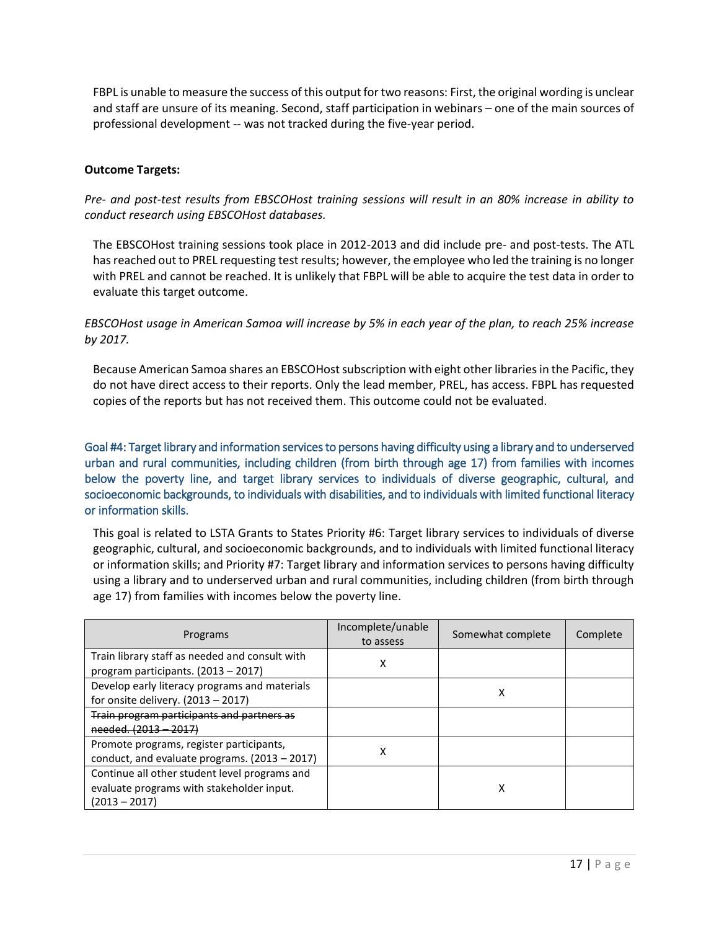FBPL is unable to measure the success of this output for two reasons: First, the original wording is unclear and staff are unsure of its meaning. Second, staff participation in webinars – one of the main sources of professional development -- was not tracked during the five-year period.

#### **Outcome Targets:**

*Pre- and post-test results from EBSCOHost training sessions will result in an 80% increase in ability to conduct research using EBSCOHost databases.* 

The EBSCOHost training sessions took place in 2012-2013 and did include pre- and post-tests. The ATL has reached out to PREL requesting test results; however, the employee who led the training is no longer with PREL and cannot be reached. It is unlikely that FBPL will be able to acquire the test data in order to evaluate this target outcome.

*EBSCOHost usage in American Samoa will increase by 5% in each year of the plan, to reach 25% increase by 2017.* 

Because American Samoa shares an EBSCOHost subscription with eight other libraries in the Pacific, they do not have direct access to their reports. Only the lead member, PREL, has access. FBPL has requested copies of the reports but has not received them. This outcome could not be evaluated.

Goal #4: Target library and information services to persons having difficulty using a library and to underserved urban and rural communities, including children (from birth through age 17) from families with incomes below the poverty line, and target library services to individuals of diverse geographic, cultural, and socioeconomic backgrounds, to individuals with disabilities, and to individuals with limited functional literacy or information skills.

This goal is related to LSTA Grants to States Priority #6: Target library services to individuals of diverse geographic, cultural, and socioeconomic backgrounds, and to individuals with limited functional literacy or information skills; and Priority #7: Target library and information services to persons having difficulty using a library and to underserved urban and rural communities, including children (from birth through age 17) from families with incomes below the poverty line.

| Programs                                                                                                      | Incomplete/unable<br>to assess | Somewhat complete | Complete |
|---------------------------------------------------------------------------------------------------------------|--------------------------------|-------------------|----------|
| Train library staff as needed and consult with<br>program participants. $(2013 - 2017)$                       | χ                              |                   |          |
| Develop early literacy programs and materials<br>for onsite delivery. $(2013 - 2017)$                         |                                | χ                 |          |
| Train program participants and partners as<br>needed. (2013 - 2017)                                           |                                |                   |          |
| Promote programs, register participants,<br>conduct, and evaluate programs. $(2013 - 2017)$                   | x                              |                   |          |
| Continue all other student level programs and<br>evaluate programs with stakeholder input.<br>$(2013 - 2017)$ |                                | х                 |          |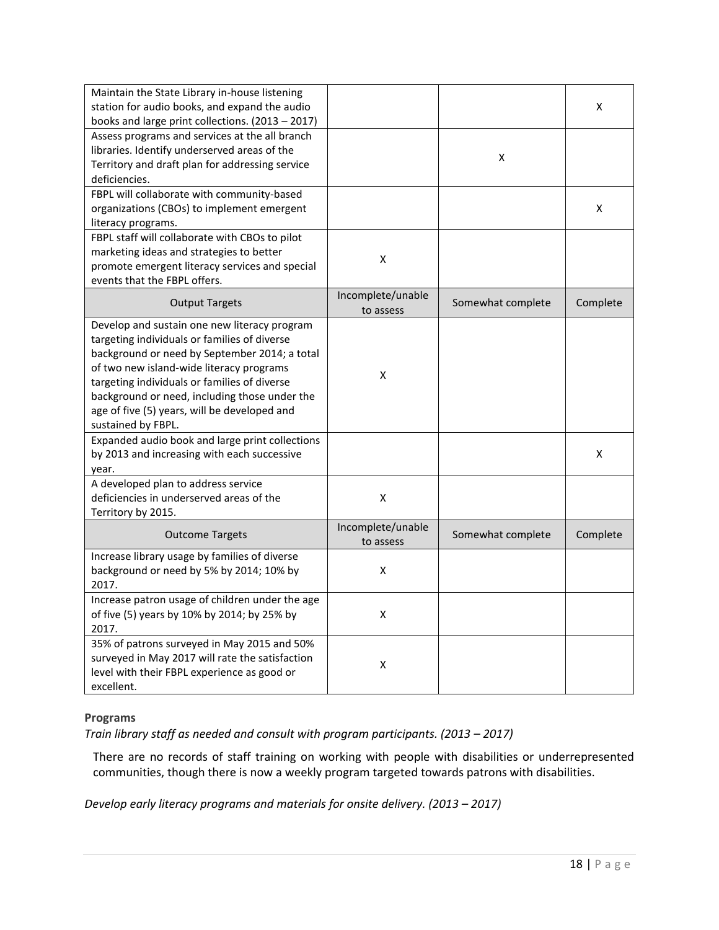| Maintain the State Library in-house listening<br>station for audio books, and expand the audio<br>books and large print collections. (2013 - 2017)                                                                                                                                                                                                               |                                |                   | X        |
|------------------------------------------------------------------------------------------------------------------------------------------------------------------------------------------------------------------------------------------------------------------------------------------------------------------------------------------------------------------|--------------------------------|-------------------|----------|
| Assess programs and services at the all branch<br>libraries. Identify underserved areas of the<br>Territory and draft plan for addressing service<br>deficiencies.                                                                                                                                                                                               |                                | X                 |          |
| FBPL will collaborate with community-based<br>organizations (CBOs) to implement emergent<br>literacy programs.                                                                                                                                                                                                                                                   |                                |                   | x        |
| FBPL staff will collaborate with CBOs to pilot<br>marketing ideas and strategies to better<br>promote emergent literacy services and special<br>events that the FBPL offers.                                                                                                                                                                                     | X                              |                   |          |
| <b>Output Targets</b>                                                                                                                                                                                                                                                                                                                                            | Incomplete/unable<br>to assess | Somewhat complete | Complete |
| Develop and sustain one new literacy program<br>targeting individuals or families of diverse<br>background or need by September 2014; a total<br>of two new island-wide literacy programs<br>targeting individuals or families of diverse<br>background or need, including those under the<br>age of five (5) years, will be developed and<br>sustained by FBPL. | X                              |                   |          |
| Expanded audio book and large print collections<br>by 2013 and increasing with each successive<br>year.                                                                                                                                                                                                                                                          |                                |                   | X        |
| A developed plan to address service<br>deficiencies in underserved areas of the<br>Territory by 2015.                                                                                                                                                                                                                                                            | X                              |                   |          |
| <b>Outcome Targets</b>                                                                                                                                                                                                                                                                                                                                           | Incomplete/unable<br>to assess | Somewhat complete | Complete |
| Increase library usage by families of diverse<br>background or need by 5% by 2014; 10% by<br>2017.                                                                                                                                                                                                                                                               | Χ                              |                   |          |
| Increase patron usage of children under the age<br>of five (5) years by 10% by 2014; by 25% by<br>2017.                                                                                                                                                                                                                                                          | X                              |                   |          |
| 35% of patrons surveyed in May 2015 and 50%<br>surveyed in May 2017 will rate the satisfaction<br>level with their FBPL experience as good or<br>excellent.                                                                                                                                                                                                      | X                              |                   |          |

#### **Programs**

*Train library staff as needed and consult with program participants. (2013 – 2017)* 

There are no records of staff training on working with people with disabilities or underrepresented communities, though there is now a weekly program targeted towards patrons with disabilities.

*Develop early literacy programs and materials for onsite delivery. (2013 – 2017)*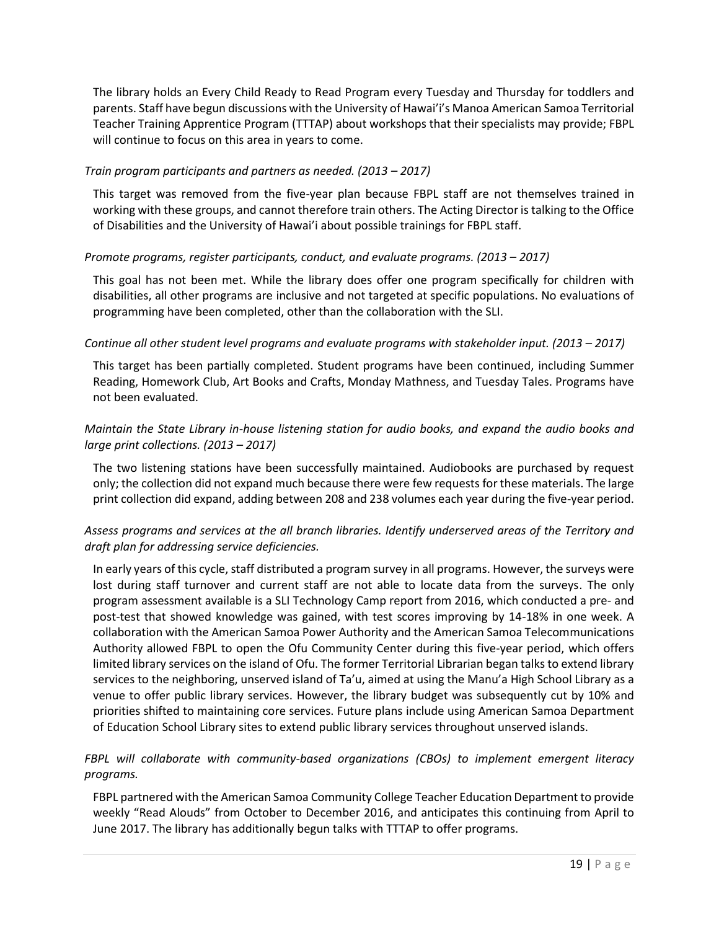The library holds an Every Child Ready to Read Program every Tuesday and Thursday for toddlers and parents. Staff have begun discussions with the University of Hawai'i's Manoa American Samoa Territorial Teacher Training Apprentice Program (TTTAP) about workshops that their specialists may provide; FBPL will continue to focus on this area in years to come.

### *Train program participants and partners as needed. (2013 – 2017)*

This target was removed from the five-year plan because FBPL staff are not themselves trained in working with these groups, and cannot therefore train others. The Acting Director is talking to the Office of Disabilities and the University of Hawai'i about possible trainings for FBPL staff.

### *Promote programs, register participants, conduct, and evaluate programs. (2013 – 2017)*

This goal has not been met. While the library does offer one program specifically for children with disabilities, all other programs are inclusive and not targeted at specific populations. No evaluations of programming have been completed, other than the collaboration with the SLI.

### *Continue all other student level programs and evaluate programs with stakeholder input. (2013 – 2017)*

This target has been partially completed. Student programs have been continued, including Summer Reading, Homework Club, Art Books and Crafts, Monday Mathness, and Tuesday Tales. Programs have not been evaluated.

### *Maintain the State Library in-house listening station for audio books, and expand the audio books and large print collections. (2013 – 2017)*

The two listening stations have been successfully maintained. Audiobooks are purchased by request only; the collection did not expand much because there were few requests for these materials. The large print collection did expand, adding between 208 and 238 volumes each year during the five-year period.

### *Assess programs and services at the all branch libraries. Identify underserved areas of the Territory and draft plan for addressing service deficiencies.*

In early years of this cycle, staff distributed a program survey in all programs. However, the surveys were lost during staff turnover and current staff are not able to locate data from the surveys. The only program assessment available is a SLI Technology Camp report from 2016, which conducted a pre- and post-test that showed knowledge was gained, with test scores improving by 14-18% in one week. A collaboration with the American Samoa Power Authority and the American Samoa Telecommunications Authority allowed FBPL to open the Ofu Community Center during this five-year period, which offers limited library services on the island of Ofu. The former Territorial Librarian began talks to extend library services to the neighboring, unserved island of Ta'u, aimed at using the Manu'a High School Library as a venue to offer public library services. However, the library budget was subsequently cut by 10% and priorities shifted to maintaining core services. Future plans include using American Samoa Department of Education School Library sites to extend public library services throughout unserved islands.

### *FBPL will collaborate with community-based organizations (CBOs) to implement emergent literacy programs.*

FBPL partnered with the American Samoa Community College Teacher Education Department to provide weekly "Read Alouds" from October to December 2016, and anticipates this continuing from April to June 2017. The library has additionally begun talks with TTTAP to offer programs.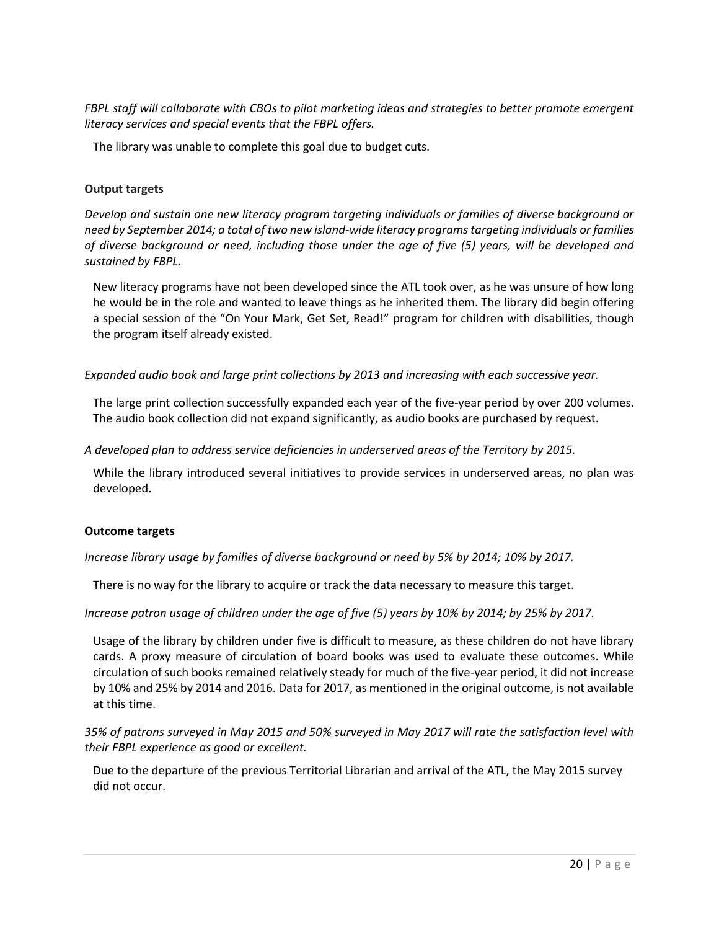*FBPL staff will collaborate with CBOs to pilot marketing ideas and strategies to better promote emergent literacy services and special events that the FBPL offers.* 

The library was unable to complete this goal due to budget cuts.

### **Output targets**

*Develop and sustain one new literacy program targeting individuals or families of diverse background or need by September 2014; a total of two new island-wide literacy programs targeting individuals or families of diverse background or need, including those under the age of five (5) years, will be developed and sustained by FBPL.*

New literacy programs have not been developed since the ATL took over, as he was unsure of how long he would be in the role and wanted to leave things as he inherited them. The library did begin offering a special session of the "On Your Mark, Get Set, Read!" program for children with disabilities, though the program itself already existed.

*Expanded audio book and large print collections by 2013 and increasing with each successive year.* 

The large print collection successfully expanded each year of the five-year period by over 200 volumes. The audio book collection did not expand significantly, as audio books are purchased by request.

*A developed plan to address service deficiencies in underserved areas of the Territory by 2015.* 

While the library introduced several initiatives to provide services in underserved areas, no plan was developed.

#### **Outcome targets**

*Increase library usage by families of diverse background or need by 5% by 2014; 10% by 2017.* 

There is no way for the library to acquire or track the data necessary to measure this target.

*Increase patron usage of children under the age of five (5) years by 10% by 2014; by 25% by 2017.* 

Usage of the library by children under five is difficult to measure, as these children do not have library cards. A proxy measure of circulation of board books was used to evaluate these outcomes. While circulation of such books remained relatively steady for much of the five-year period, it did not increase by 10% and 25% by 2014 and 2016. Data for 2017, as mentioned in the original outcome, is not available at this time.

*35% of patrons surveyed in May 2015 and 50% surveyed in May 2017 will rate the satisfaction level with their FBPL experience as good or excellent.* 

Due to the departure of the previous Territorial Librarian and arrival of the ATL, the May 2015 survey did not occur.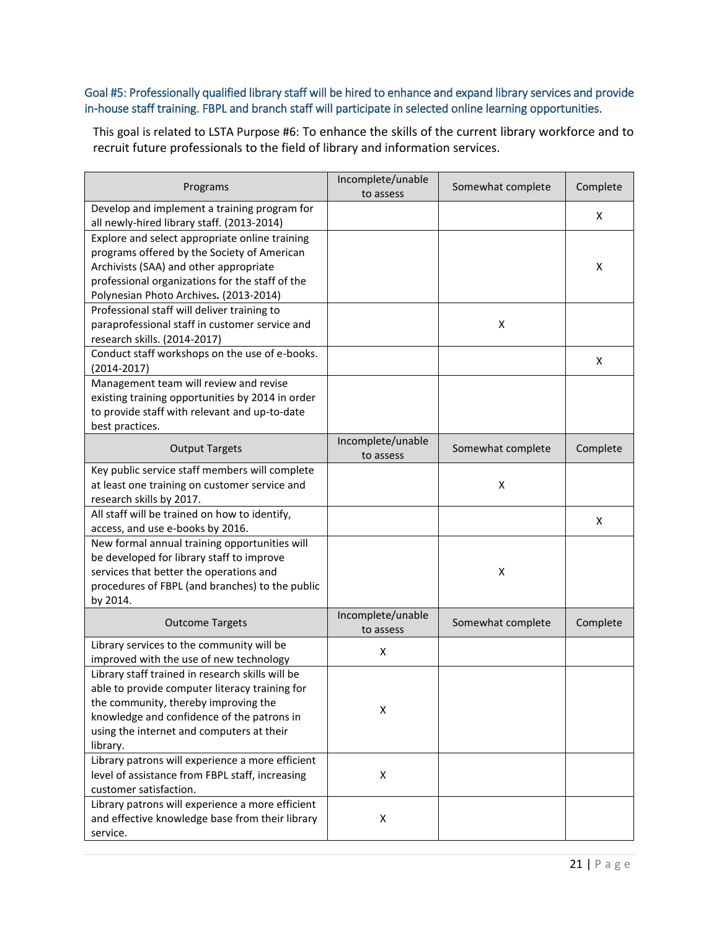# Goal #5: Professionally qualified library staff will be hired to enhance and expand library services and provide in-house staff training. FBPL and branch staff will participate in selected online learning opportunities.

This goal is related to LSTA Purpose #6: To enhance the skills of the current library workforce and to recruit future professionals to the field of library and information services.

| Programs                                                                                                                                                                                                                                          | Incomplete/unable<br>to assess | Somewhat complete | Complete |
|---------------------------------------------------------------------------------------------------------------------------------------------------------------------------------------------------------------------------------------------------|--------------------------------|-------------------|----------|
| Develop and implement a training program for<br>all newly-hired library staff. (2013-2014)                                                                                                                                                        |                                |                   | x        |
| Explore and select appropriate online training<br>programs offered by the Society of American<br>Archivists (SAA) and other appropriate<br>professional organizations for the staff of the<br>Polynesian Photo Archives. (2013-2014)              |                                |                   | х        |
| Professional staff will deliver training to<br>paraprofessional staff in customer service and<br>research skills. (2014-2017)                                                                                                                     |                                | X                 |          |
| Conduct staff workshops on the use of e-books.<br>$(2014 - 2017)$                                                                                                                                                                                 |                                |                   | X        |
| Management team will review and revise<br>existing training opportunities by 2014 in order<br>to provide staff with relevant and up-to-date<br>best practices.                                                                                    |                                |                   |          |
| <b>Output Targets</b>                                                                                                                                                                                                                             | Incomplete/unable<br>to assess | Somewhat complete | Complete |
| Key public service staff members will complete<br>at least one training on customer service and<br>research skills by 2017.                                                                                                                       |                                | X                 |          |
| All staff will be trained on how to identify,<br>access, and use e-books by 2016.                                                                                                                                                                 |                                |                   | X        |
| New formal annual training opportunities will<br>be developed for library staff to improve<br>services that better the operations and<br>procedures of FBPL (and branches) to the public<br>by 2014.                                              |                                | X                 |          |
| <b>Outcome Targets</b>                                                                                                                                                                                                                            | Incomplete/unable<br>to assess | Somewhat complete | Complete |
| Library services to the community will be<br>improved with the use of new technology                                                                                                                                                              | Χ                              |                   |          |
| Library staff trained in research skills will be<br>able to provide computer literacy training for<br>the community, thereby improving the<br>knowledge and confidence of the patrons in<br>using the internet and computers at their<br>library. | Χ                              |                   |          |
| Library patrons will experience a more efficient<br>level of assistance from FBPL staff, increasing<br>customer satisfaction.                                                                                                                     | Χ                              |                   |          |
| Library patrons will experience a more efficient<br>and effective knowledge base from their library<br>service.                                                                                                                                   | Χ                              |                   |          |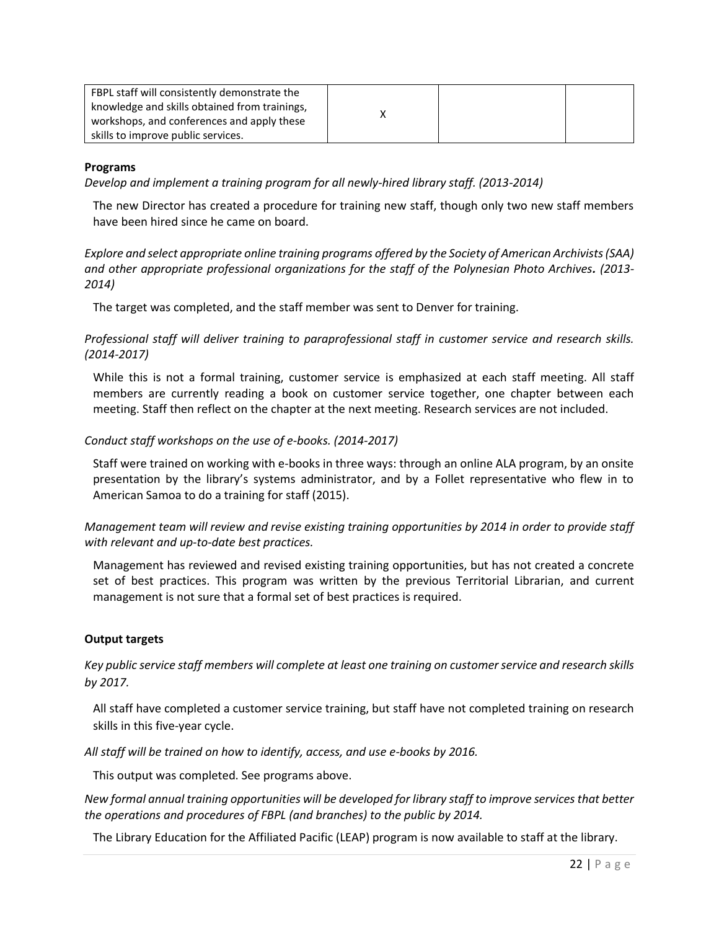| FBPL staff will consistently demonstrate the  |  |  |
|-----------------------------------------------|--|--|
| knowledge and skills obtained from trainings, |  |  |
| workshops, and conferences and apply these    |  |  |
| skills to improve public services.            |  |  |

#### **Programs**

*Develop and implement a training program for all newly-hired library staff. (2013-2014)* 

The new Director has created a procedure for training new staff, though only two new staff members have been hired since he came on board.

*Explore and select appropriate online training programs offered by the Society of American Archivists (SAA) and other appropriate professional organizations for the staff of the Polynesian Photo Archives. (2013- 2014)* 

The target was completed, and the staff member was sent to Denver for training.

*Professional staff will deliver training to paraprofessional staff in customer service and research skills. (2014-2017)* 

While this is not a formal training, customer service is emphasized at each staff meeting. All staff members are currently reading a book on customer service together, one chapter between each meeting. Staff then reflect on the chapter at the next meeting. Research services are not included.

#### *Conduct staff workshops on the use of e-books. (2014-2017)*

Staff were trained on working with e-books in three ways: through an online ALA program, by an onsite presentation by the library's systems administrator, and by a Follet representative who flew in to American Samoa to do a training for staff (2015).

*Management team will review and revise existing training opportunities by 2014 in order to provide staff with relevant and up-to-date best practices.* 

Management has reviewed and revised existing training opportunities, but has not created a concrete set of best practices. This program was written by the previous Territorial Librarian, and current management is not sure that a formal set of best practices is required.

#### **Output targets**

*Key public service staff members will complete at least one training on customer service and research skills by 2017.* 

All staff have completed a customer service training, but staff have not completed training on research skills in this five-year cycle.

*All staff will be trained on how to identify, access, and use e-books by 2016.* 

This output was completed. See programs above.

*New formal annual training opportunities will be developed for library staff to improve services that better the operations and procedures of FBPL (and branches) to the public by 2014.* 

The Library Education for the Affiliated Pacific (LEAP) program is now available to staff at the library.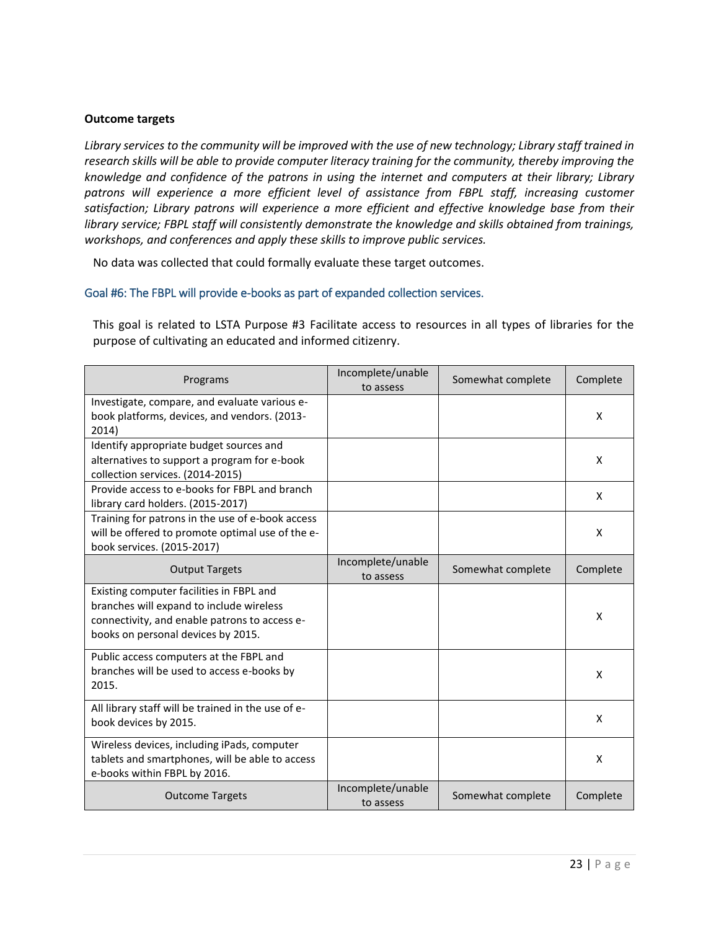#### **Outcome targets**

*Library services to the community will be improved with the use of new technology; Library staff trained in research skills will be able to provide computer literacy training for the community, thereby improving the knowledge and confidence of the patrons in using the internet and computers at their library; Library*  patrons will experience a more efficient level of assistance from FBPL staff, increasing customer *satisfaction; Library patrons will experience a more efficient and effective knowledge base from their library service; FBPL staff will consistently demonstrate the knowledge and skills obtained from trainings, workshops, and conferences and apply these skills to improve public services.* 

No data was collected that could formally evaluate these target outcomes.

### Goal #6: The FBPL will provide e-books as part of expanded collection services.

This goal is related to LSTA Purpose #3 Facilitate access to resources in all types of libraries for the purpose of cultivating an educated and informed citizenry.

| Programs                                                                                                                                                                    | Incomplete/unable<br>to assess | Somewhat complete | Complete |
|-----------------------------------------------------------------------------------------------------------------------------------------------------------------------------|--------------------------------|-------------------|----------|
| Investigate, compare, and evaluate various e-<br>book platforms, devices, and vendors. (2013-<br>2014)                                                                      |                                |                   | X        |
| Identify appropriate budget sources and<br>alternatives to support a program for e-book<br>collection services. (2014-2015)                                                 |                                |                   | X        |
| Provide access to e-books for FBPL and branch<br>library card holders. (2015-2017)                                                                                          |                                |                   | X        |
| Training for patrons in the use of e-book access<br>will be offered to promote optimal use of the e-<br>book services. (2015-2017)                                          |                                |                   | X        |
| <b>Output Targets</b>                                                                                                                                                       | Incomplete/unable<br>to assess | Somewhat complete | Complete |
| Existing computer facilities in FBPL and<br>branches will expand to include wireless<br>connectivity, and enable patrons to access e-<br>books on personal devices by 2015. |                                |                   | X        |
| Public access computers at the FBPL and<br>branches will be used to access e-books by<br>2015.                                                                              |                                |                   | X        |
| All library staff will be trained in the use of e-<br>book devices by 2015.                                                                                                 |                                |                   | X        |
| Wireless devices, including iPads, computer<br>tablets and smartphones, will be able to access<br>e-books within FBPL by 2016.                                              |                                |                   | X        |
| <b>Outcome Targets</b>                                                                                                                                                      | Incomplete/unable<br>to assess | Somewhat complete | Complete |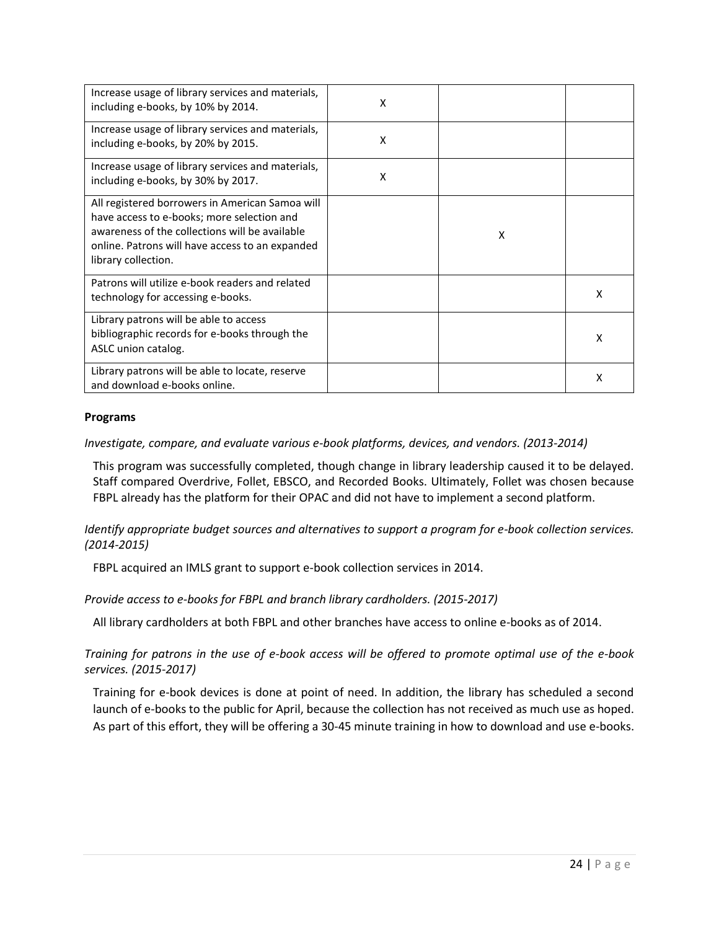| Increase usage of library services and materials,<br>including e-books, by 10% by 2014.                                                                                                                                   | X |   |   |
|---------------------------------------------------------------------------------------------------------------------------------------------------------------------------------------------------------------------------|---|---|---|
| Increase usage of library services and materials,<br>including e-books, by 20% by 2015.                                                                                                                                   | X |   |   |
| Increase usage of library services and materials,<br>including e-books, by 30% by 2017.                                                                                                                                   | X |   |   |
| All registered borrowers in American Samoa will<br>have access to e-books; more selection and<br>awareness of the collections will be available<br>online. Patrons will have access to an expanded<br>library collection. |   | X |   |
| Patrons will utilize e-book readers and related<br>technology for accessing e-books.                                                                                                                                      |   |   | x |
| Library patrons will be able to access<br>bibliographic records for e-books through the<br>ASLC union catalog.                                                                                                            |   |   | x |
| Library patrons will be able to locate, reserve<br>and download e-books online.                                                                                                                                           |   |   | х |

### **Programs**

*Investigate, compare, and evaluate various e-book platforms, devices, and vendors. (2013-2014)* 

This program was successfully completed, though change in library leadership caused it to be delayed. Staff compared Overdrive, Follet, EBSCO, and Recorded Books. Ultimately, Follet was chosen because FBPL already has the platform for their OPAC and did not have to implement a second platform.

*Identify appropriate budget sources and alternatives to support a program for e-book collection services. (2014-2015)* 

FBPL acquired an IMLS grant to support e-book collection services in 2014.

*Provide access to e-books for FBPL and branch library cardholders. (2015-2017)* 

All library cardholders at both FBPL and other branches have access to online e-books as of 2014.

*Training for patrons in the use of e-book access will be offered to promote optimal use of the e-book services. (2015-2017)* 

Training for e-book devices is done at point of need. In addition, the library has scheduled a second launch of e-books to the public for April, because the collection has not received as much use as hoped. As part of this effort, they will be offering a 30-45 minute training in how to download and use e-books.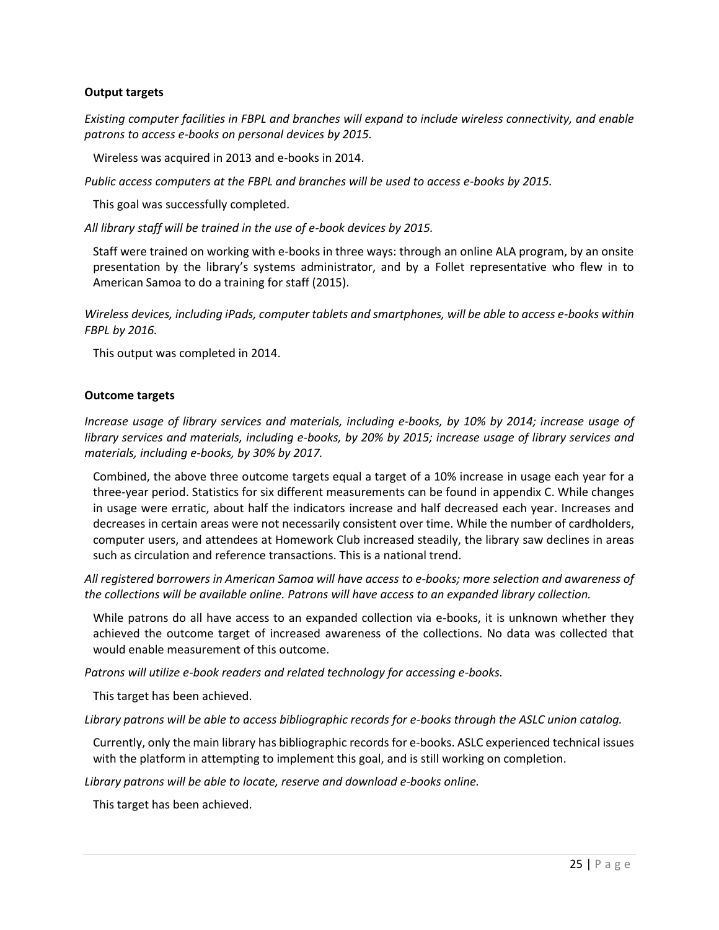#### **Output targets**

*Existing computer facilities in FBPL and branches will expand to include wireless connectivity, and enable patrons to access e-books on personal devices by 2015.* 

Wireless was acquired in 2013 and e-books in 2014.

*Public access computers at the FBPL and branches will be used to access e-books by 2015.* 

This goal was successfully completed.

*All library staff will be trained in the use of e-book devices by 2015.* 

Staff were trained on working with e-books in three ways: through an online ALA program, by an onsite presentation by the library's systems administrator, and by a Follet representative who flew in to American Samoa to do a training for staff (2015).

*Wireless devices, including iPads, computer tablets and smartphones, will be able to access e-books within FBPL by 2016.* 

This output was completed in 2014.

#### **Outcome targets**

*Increase usage of library services and materials, including e-books, by 10% by 2014; increase usage of library services and materials, including e-books, by 20% by 2015; increase usage of library services and materials, including e-books, by 30% by 2017.* 

Combined, the above three outcome targets equal a target of a 10% increase in usage each year for a three-year period. Statistics for six different measurements can be found in appendix C. While changes in usage were erratic, about half the indicators increase and half decreased each year. Increases and decreases in certain areas were not necessarily consistent over time. While the number of cardholders, computer users, and attendees at Homework Club increased steadily, the library saw declines in areas such as circulation and reference transactions. This is a national trend.

*All registered borrowers in American Samoa will have access to e-books; more selection and awareness of the collections will be available online. Patrons will have access to an expanded library collection.* 

While patrons do all have access to an expanded collection via e-books, it is unknown whether they achieved the outcome target of increased awareness of the collections. No data was collected that would enable measurement of this outcome.

*Patrons will utilize e-book readers and related technology for accessing e-books.* 

This target has been achieved.

*Library patrons will be able to access bibliographic records for e-books through the ASLC union catalog.* 

Currently, only the main library has bibliographic records for e-books. ASLC experienced technical issues with the platform in attempting to implement this goal, and is still working on completion.

*Library patrons will be able to locate, reserve and download e-books online.* 

This target has been achieved.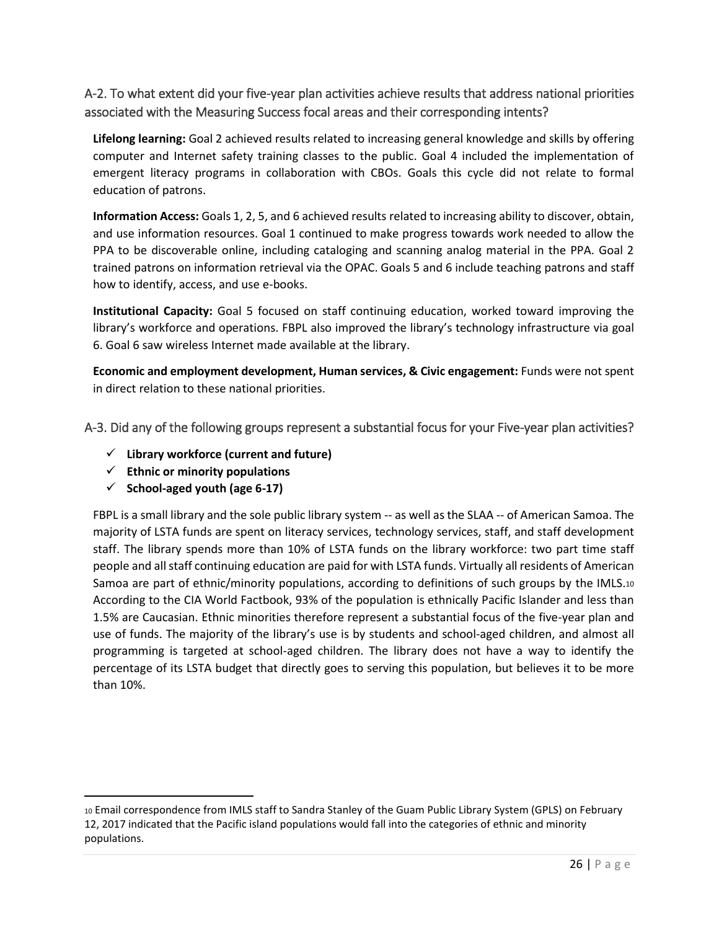# <span id="page-27-0"></span>A-2. To what extent did your five-year plan activities achieve results that address national priorities associated with the Measuring Success focal areas and their corresponding intents?

**Lifelong learning:** Goal 2 achieved results related to increasing general knowledge and skills by offering computer and Internet safety training classes to the public. Goal 4 included the implementation of emergent literacy programs in collaboration with CBOs. Goals this cycle did not relate to formal education of patrons.

**Information Access:** Goals 1, 2, 5, and 6 achieved results related to increasing ability to discover, obtain, and use information resources. Goal 1 continued to make progress towards work needed to allow the PPA to be discoverable online, including cataloging and scanning analog material in the PPA. Goal 2 trained patrons on information retrieval via the OPAC. Goals 5 and 6 include teaching patrons and staff how to identify, access, and use e-books.

**Institutional Capacity:** Goal 5 focused on staff continuing education, worked toward improving the library's workforce and operations. FBPL also improved the library's technology infrastructure via goal 6. Goal 6 saw wireless Internet made available at the library.

**Economic and employment development, Human services, & Civic engagement:** Funds were not spent in direct relation to these national priorities.

<span id="page-27-1"></span>A-3. Did any of the following groups represent a substantial focus for your Five-year plan activities?

- **Library workforce (current and future)**
- **Ethnic or minority populations**
- $\checkmark$  School-aged youth (age 6-17)

 $\overline{\phantom{a}}$ 

FBPL is a small library and the sole public library system -- as well as the SLAA -- of American Samoa. The majority of LSTA funds are spent on literacy services, technology services, staff, and staff development staff. The library spends more than 10% of LSTA funds on the library workforce: two part time staff people and all staff continuing education are paid for with LSTA funds. Virtually all residents of American Samoa are part of ethnic/minority populations, according to definitions of such groups by the IMLS.<sup>10</sup> According to the CIA World Factbook, 93% of the population is ethnically Pacific Islander and less than 1.5% are Caucasian. Ethnic minorities therefore represent a substantial focus of the five-year plan and use of funds. The majority of the library's use is by students and school-aged children, and almost all programming is targeted at school-aged children. The library does not have a way to identify the percentage of its LSTA budget that directly goes to serving this population, but believes it to be more than 10%.

<sup>10</sup> Email correspondence from IMLS staff to Sandra Stanley of the Guam Public Library System (GPLS) on February 12, 2017 indicated that the Pacific island populations would fall into the categories of ethnic and minority populations.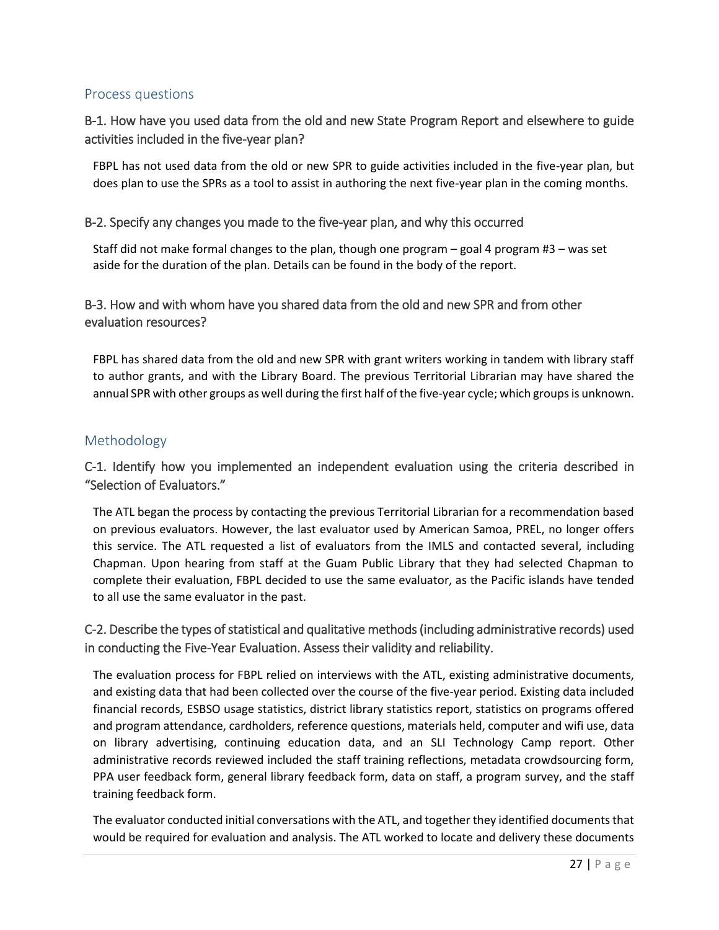# <span id="page-28-0"></span>Process questions

# <span id="page-28-1"></span>B-1. How have you used data from the old and new State Program Report and elsewhere to guide activities included in the five-year plan?

FBPL has not used data from the old or new SPR to guide activities included in the five-year plan, but does plan to use the SPRs as a tool to assist in authoring the next five-year plan in the coming months.

### <span id="page-28-2"></span>B-2. Specify any changes you made to the five-year plan, and why this occurred

<span id="page-28-3"></span>Staff did not make formal changes to the plan, though one program – goal 4 program #3 – was set aside for the duration of the plan. Details can be found in the body of the report.

# B-3. How and with whom have you shared data from the old and new SPR and from other evaluation resources?

FBPL has shared data from the old and new SPR with grant writers working in tandem with library staff to author grants, and with the Library Board. The previous Territorial Librarian may have shared the annual SPR with other groups as well during the first half of the five-year cycle; which groups is unknown.

# <span id="page-28-4"></span>Methodology

# <span id="page-28-5"></span>C-1. Identify how you implemented an independent evaluation using the criteria described in "Selection of Evaluators."

The ATL began the process by contacting the previous Territorial Librarian for a recommendation based on previous evaluators. However, the last evaluator used by American Samoa, PREL, no longer offers this service. The ATL requested a list of evaluators from the IMLS and contacted several, including Chapman. Upon hearing from staff at the Guam Public Library that they had selected Chapman to complete their evaluation, FBPL decided to use the same evaluator, as the Pacific islands have tended to all use the same evaluator in the past.

# <span id="page-28-6"></span>C-2. Describe the types of statistical and qualitative methods (including administrative records) used in conducting the Five-Year Evaluation. Assess their validity and reliability.

The evaluation process for FBPL relied on interviews with the ATL, existing administrative documents, and existing data that had been collected over the course of the five-year period. Existing data included financial records, ESBSO usage statistics, district library statistics report, statistics on programs offered and program attendance, cardholders, reference questions, materials held, computer and wifi use, data on library advertising, continuing education data, and an SLI Technology Camp report. Other administrative records reviewed included the staff training reflections, metadata crowdsourcing form, PPA user feedback form, general library feedback form, data on staff, a program survey, and the staff training feedback form.

The evaluator conducted initial conversations with the ATL, and together they identified documents that would be required for evaluation and analysis. The ATL worked to locate and delivery these documents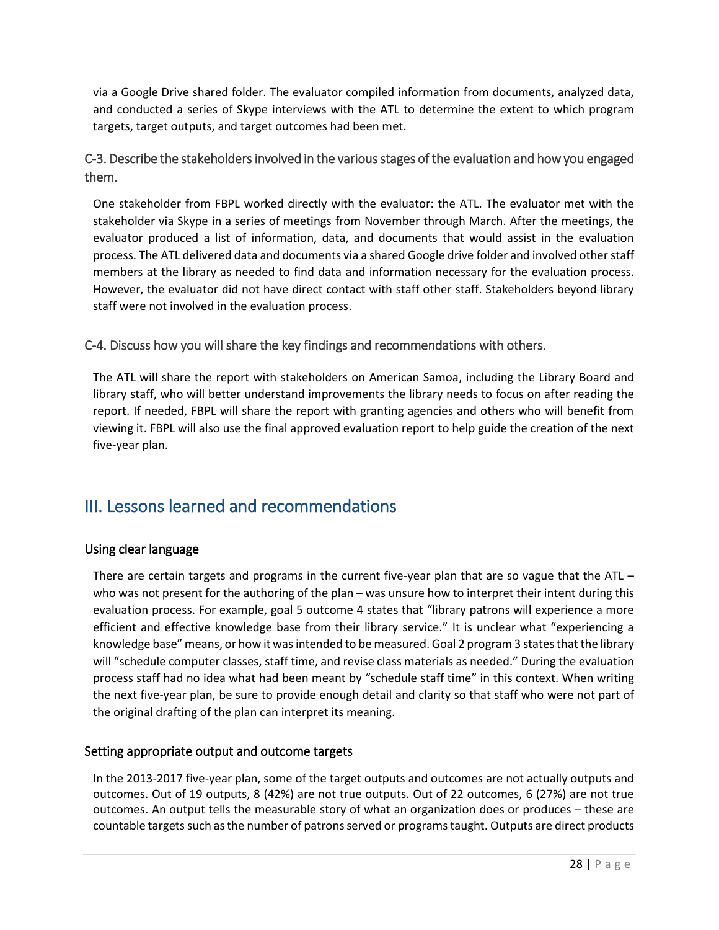via a Google Drive shared folder. The evaluator compiled information from documents, analyzed data, and conducted a series of Skype interviews with the ATL to determine the extent to which program targets, target outputs, and target outcomes had been met.

<span id="page-29-0"></span>C-3. Describe the stakeholders involved in the various stages of the evaluation and how you engaged them.

One stakeholder from FBPL worked directly with the evaluator: the ATL. The evaluator met with the stakeholder via Skype in a series of meetings from November through March. After the meetings, the evaluator produced a list of information, data, and documents that would assist in the evaluation process. The ATL delivered data and documents via a shared Google drive folder and involved otherstaff members at the library as needed to find data and information necessary for the evaluation process. However, the evaluator did not have direct contact with staff other staff. Stakeholders beyond library staff were not involved in the evaluation process.

<span id="page-29-1"></span>C-4. Discuss how you will share the key findings and recommendations with others.

The ATL will share the report with stakeholders on American Samoa, including the Library Board and library staff, who will better understand improvements the library needs to focus on after reading the report. If needed, FBPL will share the report with granting agencies and others who will benefit from viewing it. FBPL will also use the final approved evaluation report to help guide the creation of the next five-year plan.

# <span id="page-29-2"></span>III. Lessons learned and recommendations

# Using clear language

There are certain targets and programs in the current five-year plan that are so vague that the ATL – who was not present for the authoring of the plan – was unsure how to interpret their intent during this evaluation process. For example, goal 5 outcome 4 states that "library patrons will experience a more efficient and effective knowledge base from their library service." It is unclear what "experiencing a knowledge base" means, or how it was intended to be measured. Goal 2 program 3 states that the library will "schedule computer classes, staff time, and revise class materials as needed." During the evaluation process staff had no idea what had been meant by "schedule staff time" in this context. When writing the next five-year plan, be sure to provide enough detail and clarity so that staff who were not part of the original drafting of the plan can interpret its meaning.

# Setting appropriate output and outcome targets

In the 2013-2017 five-year plan, some of the target outputs and outcomes are not actually outputs and outcomes. Out of 19 outputs, 8 (42%) are not true outputs. Out of 22 outcomes, 6 (27%) are not true outcomes. An output tells the measurable story of what an organization does or produces – these are countable targets such as the number of patrons served or programs taught. Outputs are direct products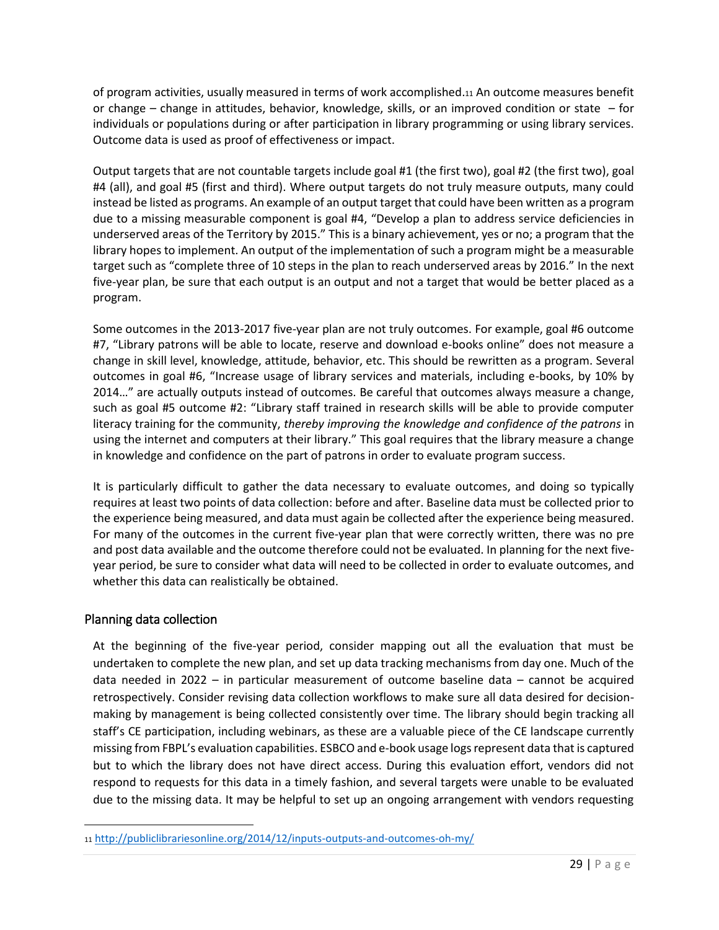of program activities, usually measured in terms of work accomplished.<sup>11</sup> An outcome measures benefit or change – change in attitudes, behavior, knowledge, skills, or an improved condition or state – for individuals or populations during or after participation in library programming or using library services. Outcome data is used as proof of effectiveness or impact.

Output targets that are not countable targets include goal #1 (the first two), goal #2 (the first two), goal #4 (all), and goal #5 (first and third). Where output targets do not truly measure outputs, many could instead be listed as programs. An example of an output target that could have been written as a program due to a missing measurable component is goal #4, "Develop a plan to address service deficiencies in underserved areas of the Territory by 2015." This is a binary achievement, yes or no; a program that the library hopes to implement. An output of the implementation of such a program might be a measurable target such as "complete three of 10 steps in the plan to reach underserved areas by 2016." In the next five-year plan, be sure that each output is an output and not a target that would be better placed as a program.

Some outcomes in the 2013-2017 five-year plan are not truly outcomes. For example, goal #6 outcome #7, "Library patrons will be able to locate, reserve and download e-books online" does not measure a change in skill level, knowledge, attitude, behavior, etc. This should be rewritten as a program. Several outcomes in goal #6, "Increase usage of library services and materials, including e-books, by 10% by 2014…" are actually outputs instead of outcomes. Be careful that outcomes always measure a change, such as goal #5 outcome #2: "Library staff trained in research skills will be able to provide computer literacy training for the community, *thereby improving the knowledge and confidence of the patrons* in using the internet and computers at their library." This goal requires that the library measure a change in knowledge and confidence on the part of patrons in order to evaluate program success.

It is particularly difficult to gather the data necessary to evaluate outcomes, and doing so typically requires at least two points of data collection: before and after. Baseline data must be collected prior to the experience being measured, and data must again be collected after the experience being measured. For many of the outcomes in the current five-year plan that were correctly written, there was no pre and post data available and the outcome therefore could not be evaluated. In planning for the next fiveyear period, be sure to consider what data will need to be collected in order to evaluate outcomes, and whether this data can realistically be obtained.

# Planning data collection

 $\overline{\phantom{a}}$ 

At the beginning of the five-year period, consider mapping out all the evaluation that must be undertaken to complete the new plan, and set up data tracking mechanisms from day one. Much of the data needed in 2022 – in particular measurement of outcome baseline data – cannot be acquired retrospectively. Consider revising data collection workflows to make sure all data desired for decisionmaking by management is being collected consistently over time. The library should begin tracking all staff's CE participation, including webinars, as these are a valuable piece of the CE landscape currently missing from FBPL's evaluation capabilities. ESBCO and e-book usage logs represent data that is captured but to which the library does not have direct access. During this evaluation effort, vendors did not respond to requests for this data in a timely fashion, and several targets were unable to be evaluated due to the missing data. It may be helpful to set up an ongoing arrangement with vendors requesting

<sup>11</sup> <http://publiclibrariesonline.org/2014/12/inputs-outputs-and-outcomes-oh-my/>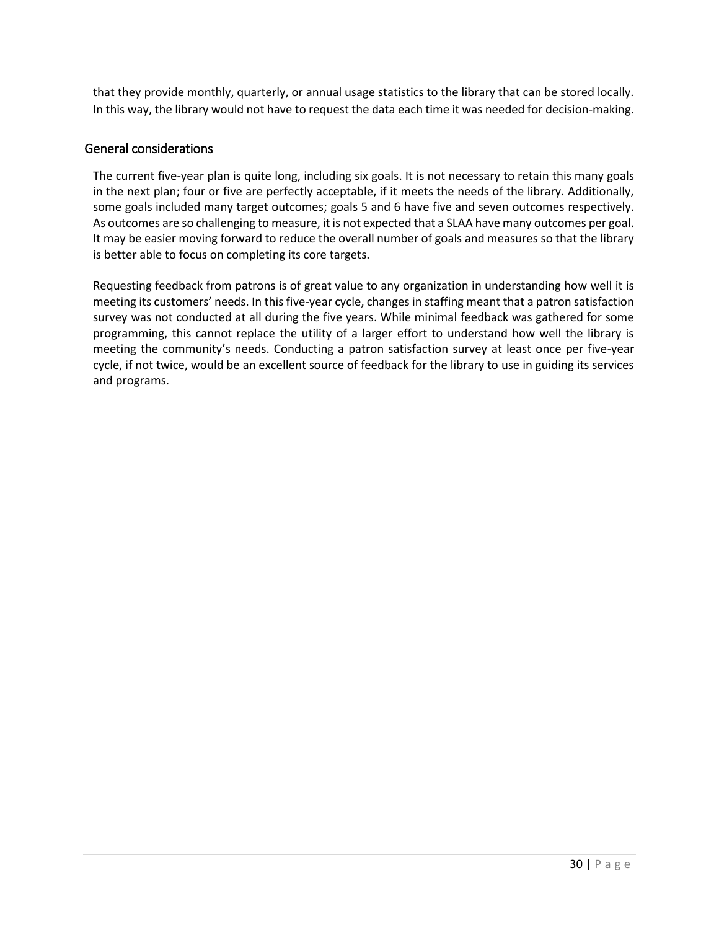that they provide monthly, quarterly, or annual usage statistics to the library that can be stored locally. In this way, the library would not have to request the data each time it was needed for decision-making.

### General considerations

The current five-year plan is quite long, including six goals. It is not necessary to retain this many goals in the next plan; four or five are perfectly acceptable, if it meets the needs of the library. Additionally, some goals included many target outcomes; goals 5 and 6 have five and seven outcomes respectively. As outcomes are so challenging to measure, it is not expected that a SLAA have many outcomes per goal. It may be easier moving forward to reduce the overall number of goals and measures so that the library is better able to focus on completing its core targets.

Requesting feedback from patrons is of great value to any organization in understanding how well it is meeting its customers' needs. In this five-year cycle, changes in staffing meant that a patron satisfaction survey was not conducted at all during the five years. While minimal feedback was gathered for some programming, this cannot replace the utility of a larger effort to understand how well the library is meeting the community's needs. Conducting a patron satisfaction survey at least once per five-year cycle, if not twice, would be an excellent source of feedback for the library to use in guiding its services and programs.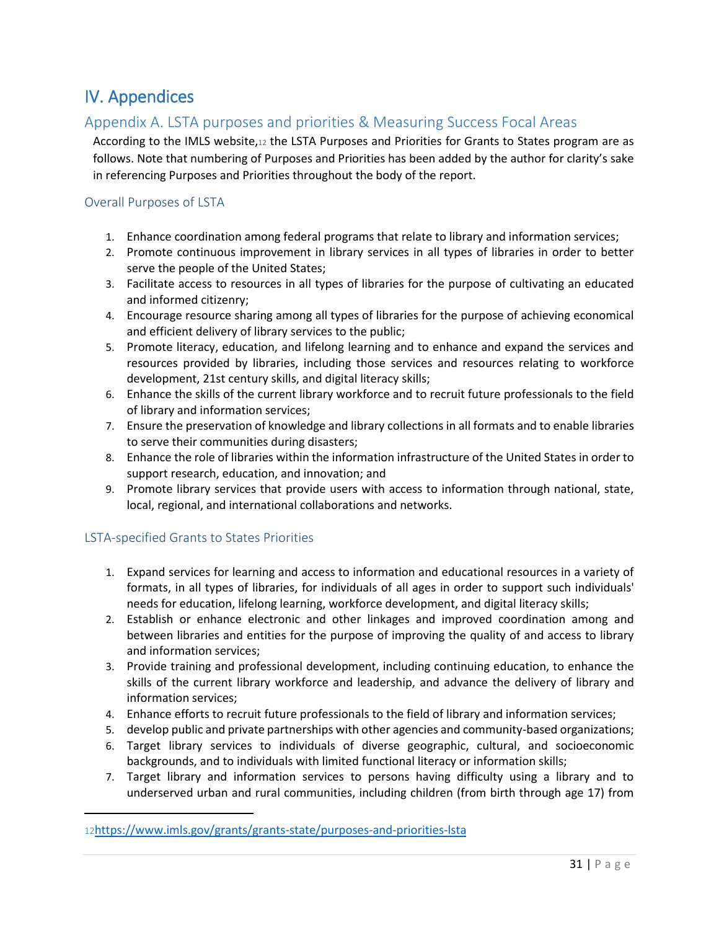# <span id="page-32-0"></span>IV. Appendices

# <span id="page-32-1"></span>Appendix A. LSTA purposes and priorities & Measuring Success Focal Areas

According to the IMLS website,12 the LSTA Purposes and Priorities for Grants to States program are as follows. Note that numbering of Purposes and Priorities has been added by the author for clarity's sake in referencing Purposes and Priorities throughout the body of the report.

### <span id="page-32-2"></span>Overall Purposes of LSTA

- 1. Enhance coordination among federal programs that relate to library and information services;
- 2. Promote continuous improvement in library services in all types of libraries in order to better serve the people of the United States;
- 3. Facilitate access to resources in all types of libraries for the purpose of cultivating an educated and informed citizenry;
- 4. Encourage resource sharing among all types of libraries for the purpose of achieving economical and efficient delivery of library services to the public;
- 5. Promote literacy, education, and lifelong learning and to enhance and expand the services and resources provided by libraries, including those services and resources relating to workforce development, 21st century skills, and digital literacy skills;
- 6. Enhance the skills of the current library workforce and to recruit future professionals to the field of library and information services;
- 7. Ensure the preservation of knowledge and library collections in all formats and to enable libraries to serve their communities during disasters;
- 8. Enhance the role of libraries within the information infrastructure of the United States in order to support research, education, and innovation; and
- 9. Promote library services that provide users with access to information through national, state, local, regional, and international collaborations and networks.

# <span id="page-32-3"></span>LSTA-specified Grants to States Priorities

 $\overline{a}$ 

- 1. Expand services for learning and access to information and educational resources in a variety of formats, in all types of libraries, for individuals of all ages in order to support such individuals' needs for education, lifelong learning, workforce development, and digital literacy skills;
- 2. Establish or enhance electronic and other linkages and improved coordination among and between libraries and entities for the purpose of improving the quality of and access to library and information services;
- 3. Provide training and professional development, including continuing education, to enhance the skills of the current library workforce and leadership, and advance the delivery of library and information services;
- 4. Enhance efforts to recruit future professionals to the field of library and information services;
- 5. develop public and private partnerships with other agencies and community-based organizations;
- 6. Target library services to individuals of diverse geographic, cultural, and socioeconomic backgrounds, and to individuals with limited functional literacy or information skills;
- 7. Target library and information services to persons having difficulty using a library and to underserved urban and rural communities, including children (from birth through age 17) from

<sup>12</sup><https://www.imls.gov/grants/grants-state/purposes-and-priorities-lsta>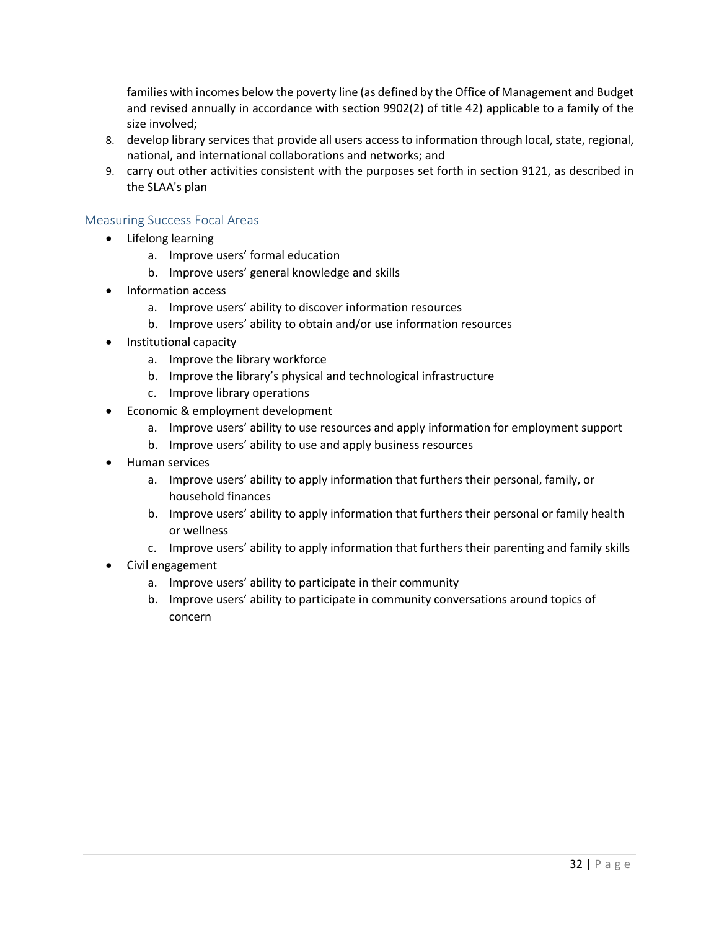families with incomes below the poverty line (as defined by the Office of Management and Budget and revised annually in accordance with section 9902(2) of title 42) applicable to a family of the size involved;

- 8. develop library services that provide all users access to information through local, state, regional, national, and international collaborations and networks; and
- 9. carry out other activities consistent with the purposes set forth in section 9121, as described in the SLAA's plan

### <span id="page-33-0"></span>Measuring Success Focal Areas

- Lifelong learning
	- a. Improve users' formal education
	- b. Improve users' general knowledge and skills
- Information access
	- a. Improve users' ability to discover information resources
	- b. Improve users' ability to obtain and/or use information resources
- Institutional capacity
	- a. Improve the library workforce
	- b. Improve the library's physical and technological infrastructure
	- c. Improve library operations
- Economic & employment development
	- a. Improve users' ability to use resources and apply information for employment support
	- b. Improve users' ability to use and apply business resources
- Human services
	- a. Improve users' ability to apply information that furthers their personal, family, or household finances
	- b. Improve users' ability to apply information that furthers their personal or family health or wellness
	- c. Improve users' ability to apply information that furthers their parenting and family skills
- Civil engagement
	- a. Improve users' ability to participate in their community
	- b. Improve users' ability to participate in community conversations around topics of concern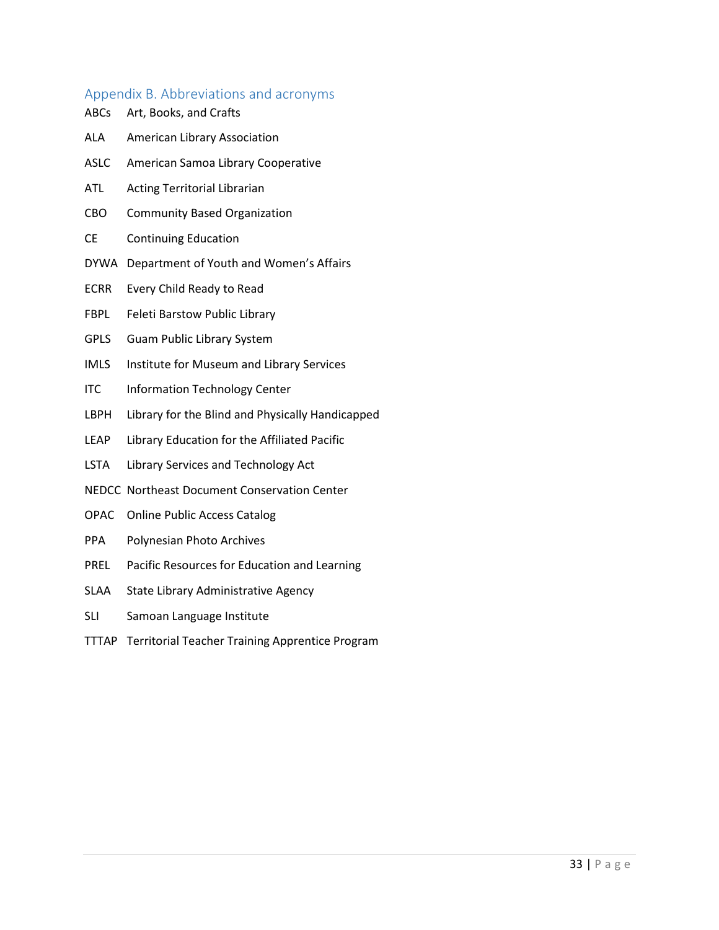# <span id="page-34-0"></span>Appendix B. Abbreviations and acronyms

| <b>ABCs</b> | Art, Books, and Crafts                           |
|-------------|--------------------------------------------------|
| ALA         | American Library Association                     |
| <b>ASLC</b> | American Samoa Library Cooperative               |
| <b>ATL</b>  | <b>Acting Territorial Librarian</b>              |
| CBO         | <b>Community Based Organization</b>              |
| <b>CE</b>   | <b>Continuing Education</b>                      |
| <b>DYWA</b> | Department of Youth and Women's Affairs          |
| <b>ECRR</b> | Every Child Ready to Read                        |
| <b>FBPL</b> | Feleti Barstow Public Library                    |
| <b>GPLS</b> | Guam Public Library System                       |
| <b>IMLS</b> | Institute for Museum and Library Services        |
| <b>ITC</b>  | <b>Information Technology Center</b>             |
| LBPH        | Library for the Blind and Physically Handicapped |
| LEAP        | Library Education for the Affiliated Pacific     |
| <b>LSTA</b> | Library Services and Technology Act              |
|             | NEDCC Northeast Document Conservation Center     |
| OPAC        | <b>Online Public Access Catalog</b>              |
| <b>PPA</b>  | Polynesian Photo Archives                        |
| PREL        | Pacific Resources for Education and Learning     |
|             |                                                  |

- SLAA State Library Administrative Agency
- SLI Samoan Language Institute
- TTTAP Territorial Teacher Training Apprentice Program